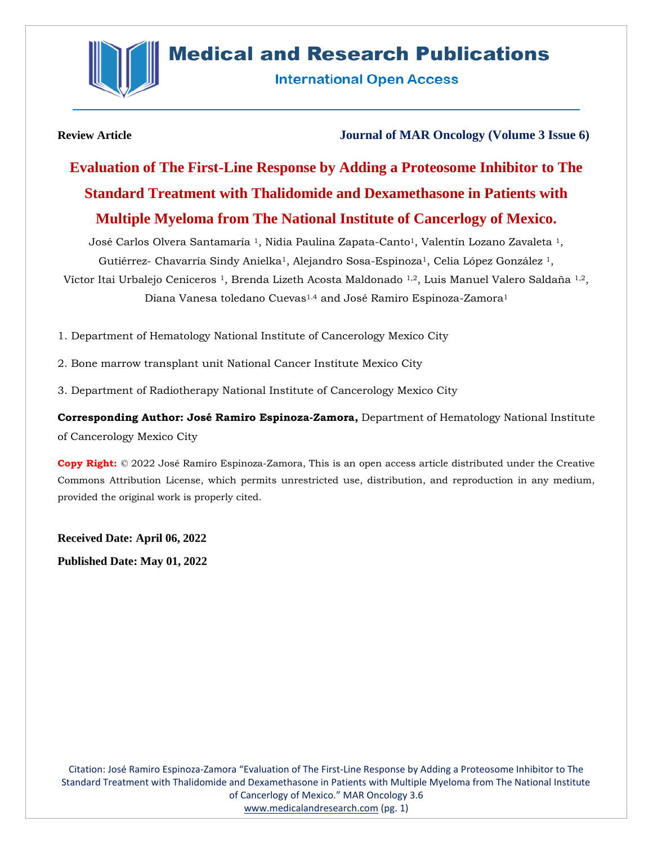

# **Medical and Research Publications**

**International Open Access** 

**Review Article Journal of MAR Oncology (Volume 3 Issue 6)**

**Evaluation of The First-Line Response by Adding a Proteosome Inhibitor to The Standard Treatment with Thalidomide and Dexamethasone in Patients with Multiple Myeloma from The National Institute of Cancerlogy of Mexico.**

José Carlos Olvera Santamaría <sup>1</sup>, Nidia Paulina Zapata-Canto<sup>1</sup>, Valentín Lozano Zavaleta <sup>1</sup>, Gutiérrez- Chavarría Sindy Anielka<sup>1</sup>, Alejandro Sosa-Espinoza<sup>1</sup>, Celia López González<sup>1</sup>, Víctor Itai Urbalejo Ceniceros<sup>1</sup>, Brenda Lizeth Acosta Maldonado <sup>1,2</sup>, Luis Manuel Valero Saldaña <sup>1,2</sup>, Diana Vanesa toledano Cuevas<sup>1.4</sup> and José Ramiro Espinoza-Zamora<sup>1</sup>

1. Department of Hematology National Institute of Cancerology Mexico City

- 2. Bone marrow transplant unit National Cancer Institute Mexico City
- 3. Department of Radiotherapy National Institute of Cancerology Mexico City

**Corresponding Author: José Ramiro Espinoza-Zamora,** Department of Hematology National Institute of Cancerology Mexico City

**Copy Right:** © 2022 José Ramiro Espinoza-Zamora, This is an open access article distributed under the Creative Commons Attribution License, which permits unrestricted use, distribution, and reproduction in any medium, provided the original work is properly cited.

**Received Date: April 06, 2022 Published Date: May 01, 2022**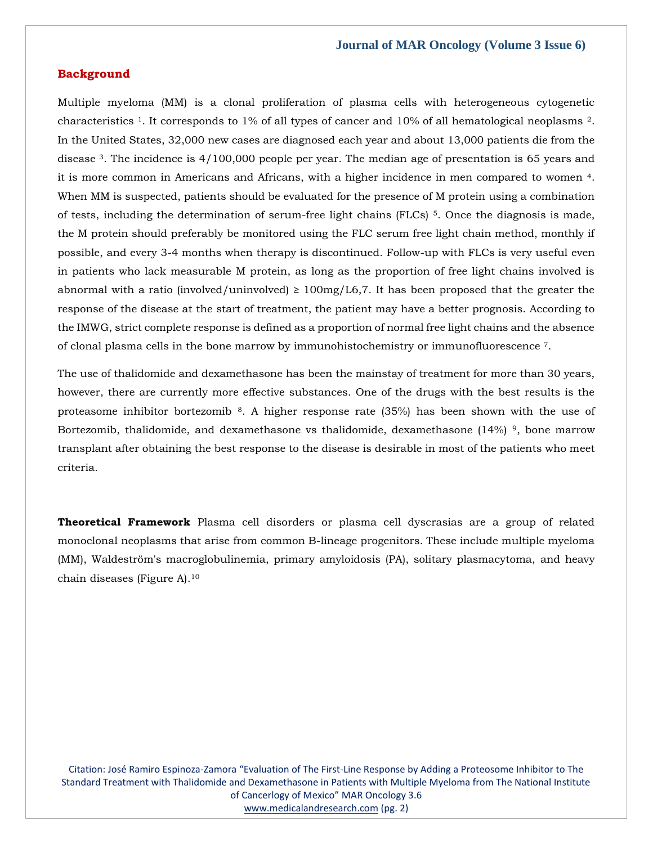# **Background**

Multiple myeloma (MM) is a clonal proliferation of plasma cells with heterogeneous cytogenetic characteristics <sup>1</sup>. It corresponds to 1% of all types of cancer and 10% of all hematological neoplasms <sup>2</sup>. In the United States, 32,000 new cases are diagnosed each year and about 13,000 patients die from the disease <sup>3</sup>. The incidence is 4/100,000 people per year. The median age of presentation is 65 years and it is more common in Americans and Africans, with a higher incidence in men compared to women <sup>4</sup>. When MM is suspected, patients should be evaluated for the presence of M protein using a combination of tests, including the determination of serum-free light chains (FLCs) <sup>5</sup>. Once the diagnosis is made, the M protein should preferably be monitored using the FLC serum free light chain method, monthly if possible, and every 3-4 months when therapy is discontinued. Follow-up with FLCs is very useful even in patients who lack measurable M protein, as long as the proportion of free light chains involved is abnormal with a ratio (involved/uninvolved)  $\geq 100$ mg/L6,7. It has been proposed that the greater the response of the disease at the start of treatment, the patient may have a better prognosis. According to the IMWG, strict complete response is defined as a proportion of normal free light chains and the absence of clonal plasma cells in the bone marrow by immunohistochemistry or immunofluorescence <sup>7</sup>.

The use of thalidomide and dexamethasone has been the mainstay of treatment for more than 30 years, however, there are currently more effective substances. One of the drugs with the best results is the proteasome inhibitor bortezomib <sup>8</sup>. A higher response rate (35%) has been shown with the use of Bortezomib, thalidomide, and dexamethasone vs thalidomide, dexamethasone  $(14\%)$ <sup>9</sup>, bone marrow transplant after obtaining the best response to the disease is desirable in most of the patients who meet criteria.

**Theoretical Framework** Plasma cell disorders or plasma cell dyscrasias are a group of related monoclonal neoplasms that arise from common B-lineage progenitors. These include multiple myeloma (MM), Waldeström's macroglobulinemia, primary amyloidosis (PA), solitary plasmacytoma, and heavy chain diseases (Figure A).10

Citation: José Ramiro Espinoza-Zamora "Evaluation of The First-Line Response by Adding a Proteosome Inhibitor to The Standard Treatment with Thalidomide and Dexamethasone in Patients with Multiple Myeloma from The National Institute of Cancerlogy of Mexico" MAR Oncology 3.6 [www.medicalandresearch.com](http://www.medicalandresearch.com/) (pg. 2)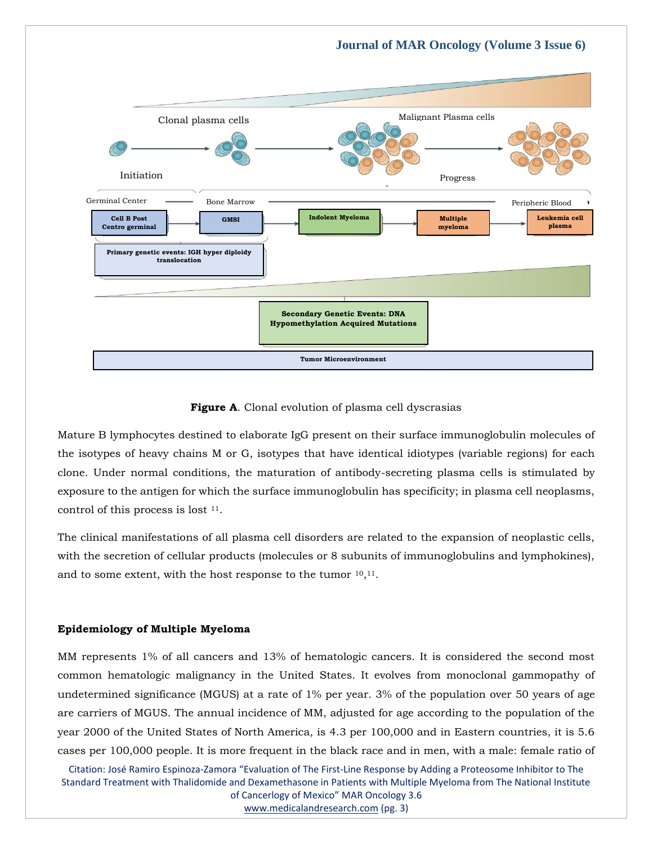

**Figure A**. Clonal evolution of plasma cell dyscrasias

Mature B lymphocytes destined to elaborate IgG present on their surface immunoglobulin molecules of the isotypes of heavy chains M or G, isotypes that have identical idiotypes (variable regions) for each clone. Under normal conditions, the maturation of antibody-secreting plasma cells is stimulated by exposure to the antigen for which the surface immunoglobulin has specificity; in plasma cell neoplasms, control of this process is lost <sup>11</sup>.

The clinical manifestations of all plasma cell disorders are related to the expansion of neoplastic cells, with the secretion of cellular products (molecules or 8 subunits of immunoglobulins and lymphokines), and to some extent, with the host response to the tumor  $10,11$ .

#### **Epidemiology of Multiple Myeloma**

MM represents 1% of all cancers and 13% of hematologic cancers. It is considered the second most common hematologic malignancy in the United States. It evolves from monoclonal gammopathy of undetermined significance (MGUS) at a rate of 1% per year. 3% of the population over 50 years of age are carriers of MGUS. The annual incidence of MM, adjusted for age according to the population of the year 2000 of the United States of North America, is 4.3 per 100,000 and in Eastern countries, it is 5.6 cases per 100,000 people. It is more frequent in the black race and in men, with a male: female ratio of

Citation: José Ramiro Espinoza-Zamora "Evaluation of The First-Line Response by Adding a Proteosome Inhibitor to The Standard Treatment with Thalidomide and Dexamethasone in Patients with Multiple Myeloma from The National Institute of Cancerlogy of Mexico" MAR Oncology 3.6

[www.medicalandresearch.com](http://www.medicalandresearch.com/) (pg. 3)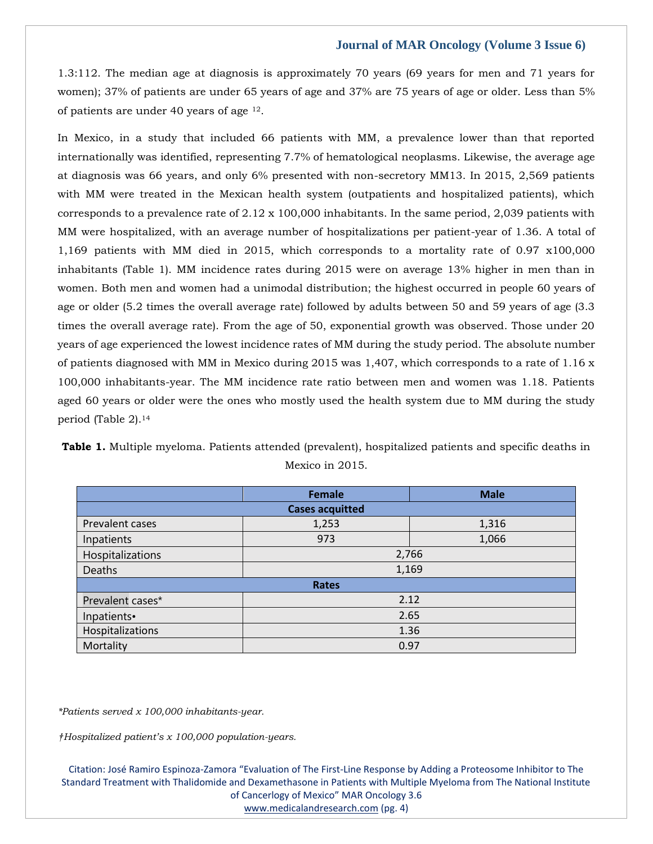1.3:112. The median age at diagnosis is approximately 70 years (69 years for men and 71 years for women); 37% of patients are under 65 years of age and 37% are 75 years of age or older. Less than 5% of patients are under 40 years of age <sup>12</sup>.

In Mexico, in a study that included 66 patients with MM, a prevalence lower than that reported internationally was identified, representing 7.7% of hematological neoplasms. Likewise, the average age at diagnosis was 66 years, and only 6% presented with non-secretory MM13. In 2015, 2,569 patients with MM were treated in the Mexican health system (outpatients and hospitalized patients), which corresponds to a prevalence rate of  $2.12 \times 100,000$  inhabitants. In the same period, 2,039 patients with MM were hospitalized, with an average number of hospitalizations per patient-year of 1.36. A total of 1,169 patients with MM died in 2015, which corresponds to a mortality rate of 0.97 x100,000 inhabitants (Table 1). MM incidence rates during 2015 were on average 13% higher in men than in women. Both men and women had a unimodal distribution; the highest occurred in people 60 years of age or older (5.2 times the overall average rate) followed by adults between 50 and 59 years of age (3.3 times the overall average rate). From the age of 50, exponential growth was observed. Those under 20 years of age experienced the lowest incidence rates of MM during the study period. The absolute number of patients diagnosed with MM in Mexico during 2015 was 1,407, which corresponds to a rate of 1.16 x 100,000 inhabitants-year. The MM incidence rate ratio between men and women was 1.18. Patients aged 60 years or older were the ones who mostly used the health system due to MM during the study period (Table 2).<sup>14</sup>

|  | <b>Table 1.</b> Multiple myeloma. Patients attended (prevalent), hospitalized patients and specific deaths in |  |                 |  |  |  |
|--|---------------------------------------------------------------------------------------------------------------|--|-----------------|--|--|--|
|  |                                                                                                               |  | Mexico in 2015. |  |  |  |

|                        | <b>Female</b> | <b>Male</b> |  |  |  |  |  |  |
|------------------------|---------------|-------------|--|--|--|--|--|--|
| <b>Cases acquitted</b> |               |             |  |  |  |  |  |  |
| Prevalent cases        | 1,253         | 1,316       |  |  |  |  |  |  |
| Inpatients             | 973           | 1,066       |  |  |  |  |  |  |
| Hospitalizations       | 2,766         |             |  |  |  |  |  |  |
| Deaths                 | 1,169         |             |  |  |  |  |  |  |
|                        | <b>Rates</b>  |             |  |  |  |  |  |  |
| Prevalent cases*       | 2.12          |             |  |  |  |  |  |  |
| Inpatients•            | 2.65          |             |  |  |  |  |  |  |
| Hospitalizations       | 1.36          |             |  |  |  |  |  |  |
| Mortality              | 0.97          |             |  |  |  |  |  |  |

*\*Patients served x 100,000 inhabitants-year.*

*†Hospitalized patient's x 100,000 population-years.*

Citation: José Ramiro Espinoza-Zamora "Evaluation of The First-Line Response by Adding a Proteosome Inhibitor to The Standard Treatment with Thalidomide and Dexamethasone in Patients with Multiple Myeloma from The National Institute of Cancerlogy of Mexico" MAR Oncology 3.6

[www.medicalandresearch.com](http://www.medicalandresearch.com/) (pg. 4)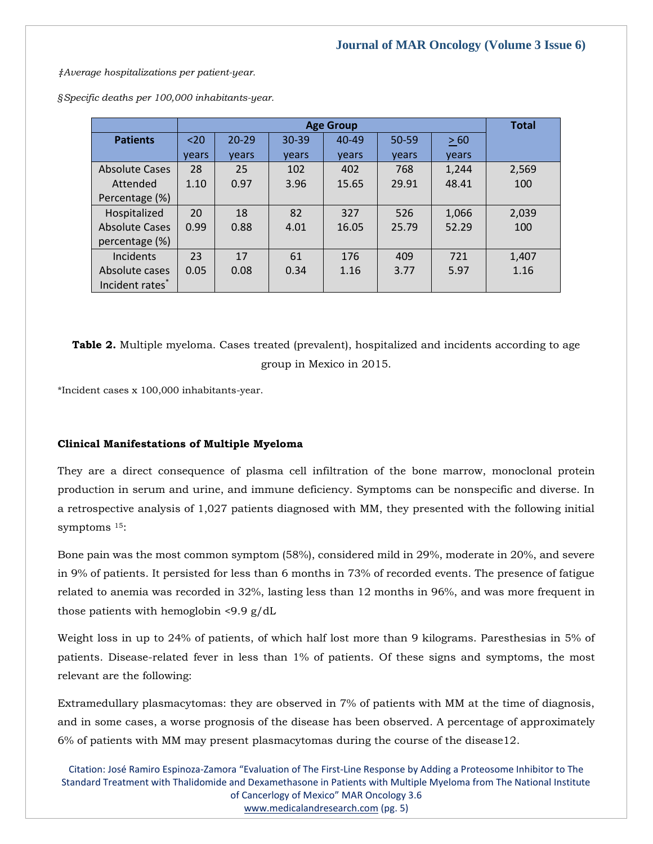*‡Average hospitalizations per patient-year.*

*§Specific deaths per 100,000 inhabitants-year.*

|                       |       | <b>Total</b> |       |           |       |       |       |
|-----------------------|-------|--------------|-------|-----------|-------|-------|-------|
| <b>Patients</b>       | $20$  | $20 - 29$    | 30-39 | $40 - 49$ | 50-59 | > 60  |       |
|                       | vears | vears        | vears | vears     | vears | vears |       |
| <b>Absolute Cases</b> | 28    | 25           | 102   | 402       | 768   | 1,244 | 2,569 |
| Attended              | 1.10  | 0.97         | 3.96  | 15.65     | 29.91 | 48.41 | 100   |
| Percentage (%)        |       |              |       |           |       |       |       |
| Hospitalized          | 20    | 18           | 82    | 327       | 526   | 1,066 | 2,039 |
| <b>Absolute Cases</b> | 0.99  | 0.88         | 4.01  | 16.05     | 25.79 | 52.29 | 100   |
| percentage (%)        |       |              |       |           |       |       |       |
| Incidents             | 23    | 17           | 61    | 176       | 409   | 721   | 1,407 |
| Absolute cases        | 0.05  | 0.08         | 0.34  | 1.16      | 3.77  | 5.97  | 1.16  |
| Incident rates*       |       |              |       |           |       |       |       |

**Table 2.** Multiple myeloma. Cases treated (prevalent), hospitalized and incidents according to age group in Mexico in 2015.

\*Incident cases x 100,000 inhabitants-year.

# **Clinical Manifestations of Multiple Myeloma**

They are a direct consequence of plasma cell infiltration of the bone marrow, monoclonal protein production in serum and urine, and immune deficiency. Symptoms can be nonspecific and diverse. In a retrospective analysis of 1,027 patients diagnosed with MM, they presented with the following initial symptoms <sup>15</sup>:

Bone pain was the most common symptom (58%), considered mild in 29%, moderate in 20%, and severe in 9% of patients. It persisted for less than 6 months in 73% of recorded events. The presence of fatigue related to anemia was recorded in 32%, lasting less than 12 months in 96%, and was more frequent in those patients with hemoglobin <9.9 g/dL

Weight loss in up to 24% of patients, of which half lost more than 9 kilograms. Paresthesias in 5% of patients. Disease-related fever in less than 1% of patients. Of these signs and symptoms, the most relevant are the following:

Extramedullary plasmacytomas: they are observed in 7% of patients with MM at the time of diagnosis, and in some cases, a worse prognosis of the disease has been observed. A percentage of approximately 6% of patients with MM may present plasmacytomas during the course of the disease12.

Citation: José Ramiro Espinoza-Zamora "Evaluation of The First-Line Response by Adding a Proteosome Inhibitor to The Standard Treatment with Thalidomide and Dexamethasone in Patients with Multiple Myeloma from The National Institute of Cancerlogy of Mexico" MAR Oncology 3.6 [www.medicalandresearch.com](http://www.medicalandresearch.com/) (pg. 5)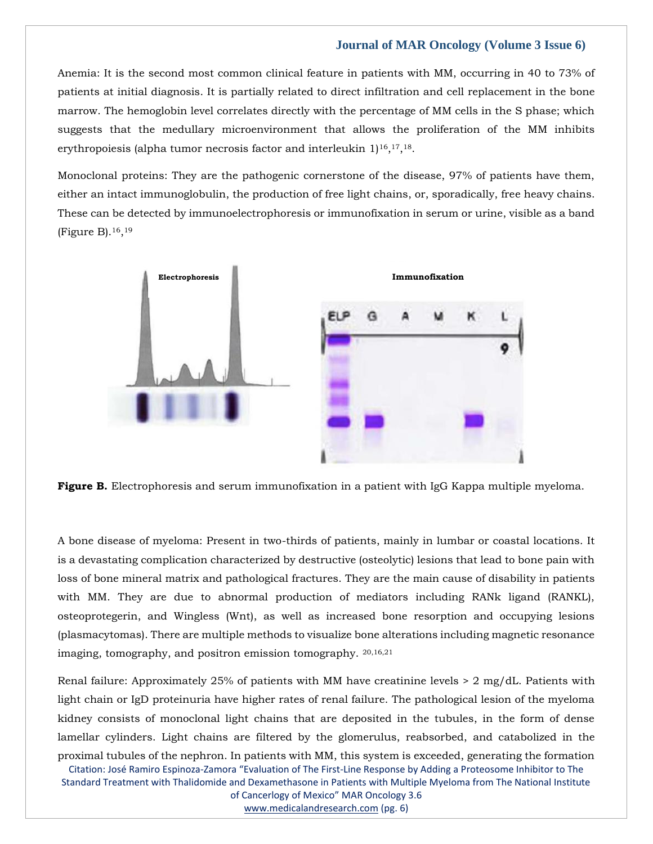Anemia: It is the second most common clinical feature in patients with MM, occurring in 40 to 73% of patients at initial diagnosis. It is partially related to direct infiltration and cell replacement in the bone marrow. The hemoglobin level correlates directly with the percentage of MM cells in the S phase; which suggests that the medullary microenvironment that allows the proliferation of the MM inhibits erythropoiesis (alpha tumor necrosis factor and interleukin 1)<sup>16</sup>,<sup>17</sup>,<sup>18</sup>.

Monoclonal proteins: They are the pathogenic cornerstone of the disease, 97% of patients have them, either an intact immunoglobulin, the production of free light chains, or, sporadically, free heavy chains. These can be detected by immunoelectrophoresis or immunofixation in serum or urine, visible as a band (Figure B).16, 19



**Figure B.** Electrophoresis and serum immunofixation in a patient with IgG Kappa multiple myeloma.

A bone disease of myeloma: Present in two-thirds of patients, mainly in lumbar or coastal locations. It is a devastating complication characterized by destructive (osteolytic) lesions that lead to bone pain with loss of bone mineral matrix and pathological fractures. They are the main cause of disability in patients with MM. They are due to abnormal production of mediators including RANk ligand (RANKL), osteoprotegerin, and Wingless (Wnt), as well as increased bone resorption and occupying lesions (plasmacytomas). There are multiple methods to visualize bone alterations including magnetic resonance imaging, tomography, and positron emission tomography. 20,16,21

Renal failure: Approximately 25% of patients with MM have creatinine levels > 2 mg/dL. Patients with light chain or IgD proteinuria have higher rates of renal failure. The pathological lesion of the myeloma kidney consists of monoclonal light chains that are deposited in the tubules, in the form of dense lamellar cylinders. Light chains are filtered by the glomerulus, reabsorbed, and catabolized in the proximal tubules of the nephron. In patients with MM, this system is exceeded, generating the formation

Citation: José Ramiro Espinoza-Zamora "Evaluation of The First-Line Response by Adding a Proteosome Inhibitor to The Standard Treatment with Thalidomide and Dexamethasone in Patients with Multiple Myeloma from The National Institute of Cancerlogy of Mexico" MAR Oncology 3.6

[www.medicalandresearch.com](http://www.medicalandresearch.com/) (pg. 6)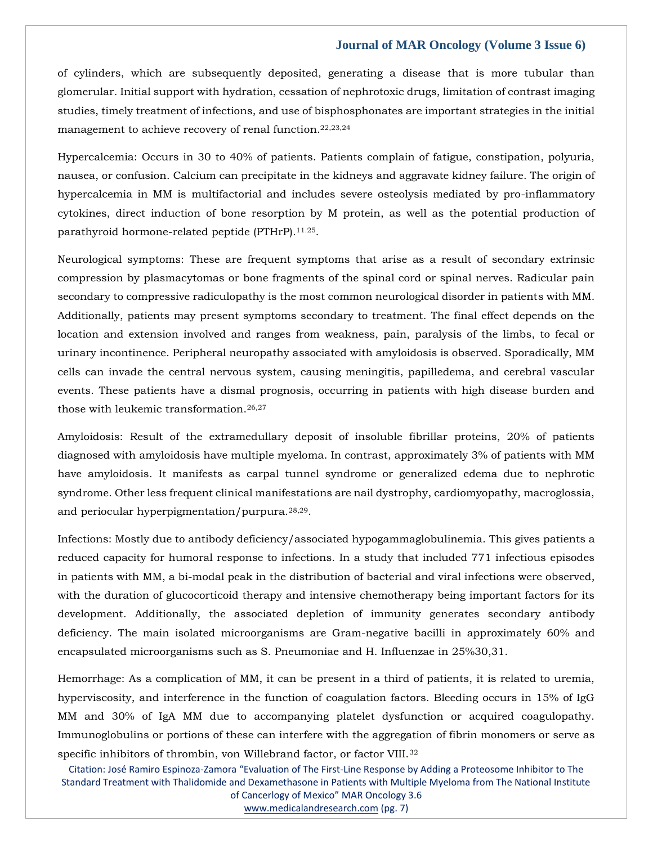of cylinders, which are subsequently deposited, generating a disease that is more tubular than glomerular. Initial support with hydration, cessation of nephrotoxic drugs, limitation of contrast imaging studies, timely treatment of infections, and use of bisphosphonates are important strategies in the initial management to achieve recovery of renal function.22,23,24

Hypercalcemia: Occurs in 30 to 40% of patients. Patients complain of fatigue, constipation, polyuria, nausea, or confusion. Calcium can precipitate in the kidneys and aggravate kidney failure. The origin of hypercalcemia in MM is multifactorial and includes severe osteolysis mediated by pro-inflammatory cytokines, direct induction of bone resorption by M protein, as well as the potential production of parathyroid hormone-related peptide (PTHrP).<sup>11.25</sup>.

Neurological symptoms: These are frequent symptoms that arise as a result of secondary extrinsic compression by plasmacytomas or bone fragments of the spinal cord or spinal nerves. Radicular pain secondary to compressive radiculopathy is the most common neurological disorder in patients with MM. Additionally, patients may present symptoms secondary to treatment. The final effect depends on the location and extension involved and ranges from weakness, pain, paralysis of the limbs, to fecal or urinary incontinence. Peripheral neuropathy associated with amyloidosis is observed. Sporadically, MM cells can invade the central nervous system, causing meningitis, papilledema, and cerebral vascular events. These patients have a dismal prognosis, occurring in patients with high disease burden and those with leukemic transformation.26,27

Amyloidosis: Result of the extramedullary deposit of insoluble fibrillar proteins, 20% of patients diagnosed with amyloidosis have multiple myeloma. In contrast, approximately 3% of patients with MM have amyloidosis. It manifests as carpal tunnel syndrome or generalized edema due to nephrotic syndrome. Other less frequent clinical manifestations are nail dystrophy, cardiomyopathy, macroglossia, and periocular hyperpigmentation/purpura.28,29.

Infections: Mostly due to antibody deficiency/associated hypogammaglobulinemia. This gives patients a reduced capacity for humoral response to infections. In a study that included 771 infectious episodes in patients with MM, a bi-modal peak in the distribution of bacterial and viral infections were observed, with the duration of glucocorticoid therapy and intensive chemotherapy being important factors for its development. Additionally, the associated depletion of immunity generates secondary antibody deficiency. The main isolated microorganisms are Gram-negative bacilli in approximately 60% and encapsulated microorganisms such as S. Pneumoniae and H. Influenzae in 25%30,31.

Hemorrhage: As a complication of MM, it can be present in a third of patients, it is related to uremia, hyperviscosity, and interference in the function of coagulation factors. Bleeding occurs in 15% of IgG MM and 30% of IgA MM due to accompanying platelet dysfunction or acquired coagulopathy. Immunoglobulins or portions of these can interfere with the aggregation of fibrin monomers or serve as specific inhibitors of thrombin, von Willebrand factor, or factor VIII.<sup>32</sup>

Citation: José Ramiro Espinoza-Zamora "Evaluation of The First-Line Response by Adding a Proteosome Inhibitor to The Standard Treatment with Thalidomide and Dexamethasone in Patients with Multiple Myeloma from The National Institute of Cancerlogy of Mexico" MAR Oncology 3.6

[www.medicalandresearch.com](http://www.medicalandresearch.com/) (pg. 7)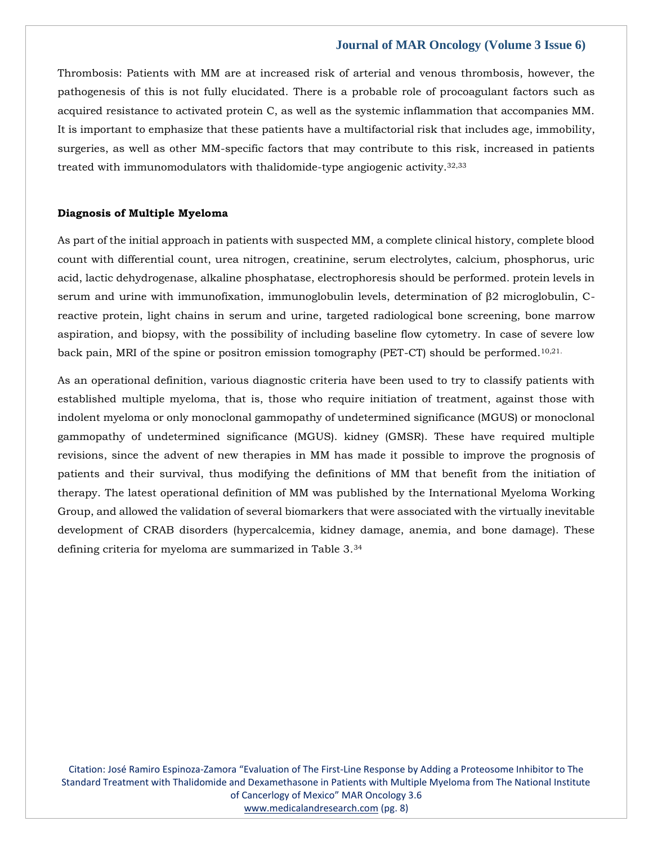Thrombosis: Patients with MM are at increased risk of arterial and venous thrombosis, however, the pathogenesis of this is not fully elucidated. There is a probable role of procoagulant factors such as acquired resistance to activated protein C, as well as the systemic inflammation that accompanies MM. It is important to emphasize that these patients have a multifactorial risk that includes age, immobility, surgeries, as well as other MM-specific factors that may contribute to this risk, increased in patients treated with immunomodulators with thalidomide-type angiogenic activity.32,33

#### **Diagnosis of Multiple Myeloma**

As part of the initial approach in patients with suspected MM, a complete clinical history, complete blood count with differential count, urea nitrogen, creatinine, serum electrolytes, calcium, phosphorus, uric acid, lactic dehydrogenase, alkaline phosphatase, electrophoresis should be performed. protein levels in serum and urine with immunofixation, immunoglobulin levels, determination of β2 microglobulin, Creactive protein, light chains in serum and urine, targeted radiological bone screening, bone marrow aspiration, and biopsy, with the possibility of including baseline flow cytometry. In case of severe low back pain, MRI of the spine or positron emission tomography (PET-CT) should be performed.10,21.

As an operational definition, various diagnostic criteria have been used to try to classify patients with established multiple myeloma, that is, those who require initiation of treatment, against those with indolent myeloma or only monoclonal gammopathy of undetermined significance (MGUS) or monoclonal gammopathy of undetermined significance (MGUS). kidney (GMSR). These have required multiple revisions, since the advent of new therapies in MM has made it possible to improve the prognosis of patients and their survival, thus modifying the definitions of MM that benefit from the initiation of therapy. The latest operational definition of MM was published by the International Myeloma Working Group, and allowed the validation of several biomarkers that were associated with the virtually inevitable development of CRAB disorders (hypercalcemia, kidney damage, anemia, and bone damage). These defining criteria for myeloma are summarized in Table 3.34

Citation: José Ramiro Espinoza-Zamora "Evaluation of The First-Line Response by Adding a Proteosome Inhibitor to The Standard Treatment with Thalidomide and Dexamethasone in Patients with Multiple Myeloma from The National Institute of Cancerlogy of Mexico" MAR Oncology 3.6 [www.medicalandresearch.com](http://www.medicalandresearch.com/) (pg. 8)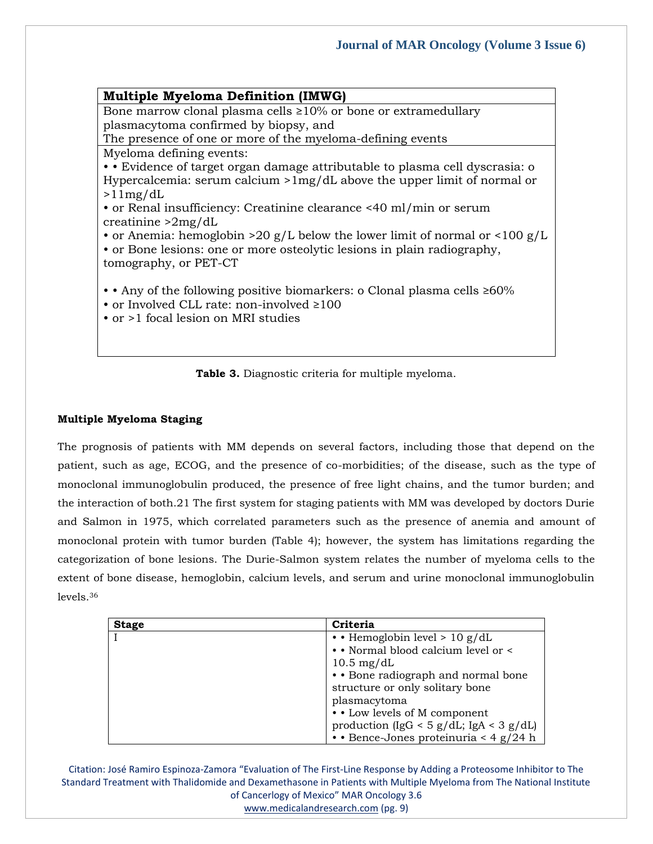# **Multiple Myeloma Definition (IMWG)**

Bone marrow clonal plasma cells ≥10% or bone or extramedullary plasmacytoma confirmed by biopsy, and

The presence of one or more of the myeloma-defining events

Myeloma defining events:

• • Evidence of target organ damage attributable to plasma cell dyscrasia: o Hypercalcemia: serum calcium >1mg/dL above the upper limit of normal or  $>11$ mg/dL

• or Renal insufficiency: Creatinine clearance <40 ml/min or serum creatinine >2mg/dL

• or Anemia: hemoglobin >20 g/L below the lower limit of normal or  $\langle 100 \text{ g/L} \rangle$ • or Bone lesions: one or more osteolytic lesions in plain radiography, tomography, or PET-CT

• • Any of the following positive biomarkers: o Clonal plasma cells ≥60%

• or Involved CLL rate: non-involved ≥100

• or >1 focal lesion on MRI studies



# **Multiple Myeloma Staging**

The prognosis of patients with MM depends on several factors, including those that depend on the patient, such as age, ECOG, and the presence of co-morbidities; of the disease, such as the type of monoclonal immunoglobulin produced, the presence of free light chains, and the tumor burden; and the interaction of both.21 The first system for staging patients with MM was developed by doctors Durie and Salmon in 1975, which correlated parameters such as the presence of anemia and amount of monoclonal protein with tumor burden (Table 4); however, the system has limitations regarding the categorization of bone lesions. The Durie-Salmon system relates the number of myeloma cells to the extent of bone disease, hemoglobin, calcium levels, and serum and urine monoclonal immunoglobulin levels.<sup>36</sup>

| <b>Stage</b> | Criteria                                    |
|--------------|---------------------------------------------|
|              | • Hemoglobin level > 10 g/dL                |
|              | • Normal blood calcium level or <           |
|              | $10.5 \text{ mg/dL}$                        |
|              | • • Bone radiograph and normal bone         |
|              | structure or only solitary bone             |
|              | plasmacytoma                                |
|              | • Low levels of M component                 |
|              | production (IgG < $5$ g/dL; IgA < $3$ g/dL) |
|              | $\cdot$ Bence-Jones proteinuria < 4 g/24 h  |

Citation: José Ramiro Espinoza-Zamora "Evaluation of The First-Line Response by Adding a Proteosome Inhibitor to The Standard Treatment with Thalidomide and Dexamethasone in Patients with Multiple Myeloma from The National Institute of Cancerlogy of Mexico" MAR Oncology 3.6

[www.medicalandresearch.com](http://www.medicalandresearch.com/) (pg. 9)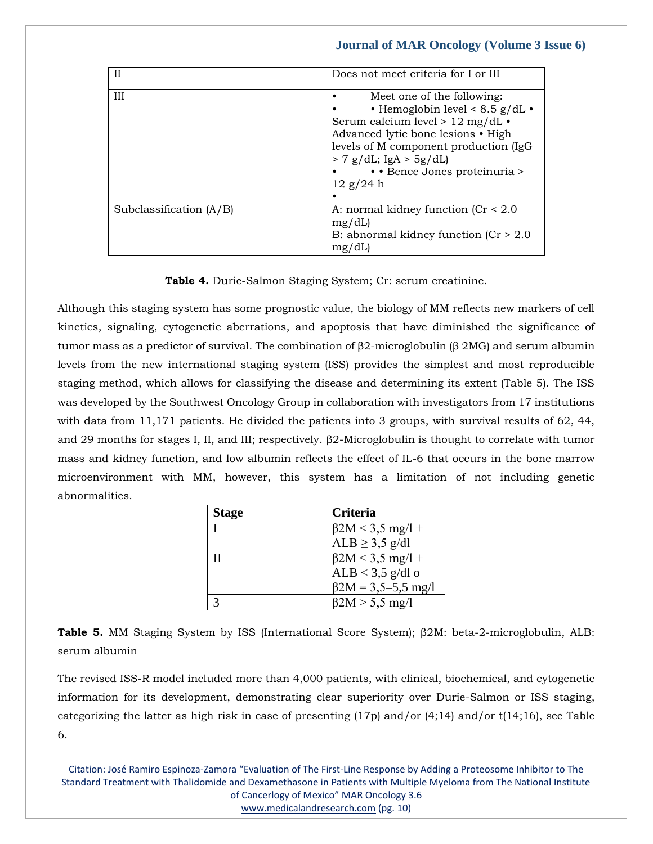| $_{\rm II}$               | Does not meet criteria for I or III                                                                                                                                                                                                                                  |
|---------------------------|----------------------------------------------------------------------------------------------------------------------------------------------------------------------------------------------------------------------------------------------------------------------|
| Ш                         | Meet one of the following:<br>• Hemoglobin level < $8.5$ g/dL •<br>Serum calcium level > 12 mg/dL $\cdot$<br>Advanced lytic bone lesions • High<br>levels of M component production (IgG)<br>$> 7$ g/dL; IgA $> 5$ g/dL)<br>• Bence Jones proteinuria ><br>12 g/24 h |
| Subclassification $(A/B)$ | A: normal kidney function $(Cr < 2.0$<br>mg/dL<br>B: abnormal kidney function $(Cr > 2.0$<br>mg/dL                                                                                                                                                                   |

**Table 4.** Durie-Salmon Staging System; Cr: serum creatinine.

Although this staging system has some prognostic value, the biology of MM reflects new markers of cell kinetics, signaling, cytogenetic aberrations, and apoptosis that have diminished the significance of tumor mass as a predictor of survival. The combination of β2-microglobulin (β 2MG) and serum albumin levels from the new international staging system (ISS) provides the simplest and most reproducible staging method, which allows for classifying the disease and determining its extent (Table 5). The ISS was developed by the Southwest Oncology Group in collaboration with investigators from 17 institutions with data from 11,171 patients. He divided the patients into 3 groups, with survival results of 62, 44, and 29 months for stages I, II, and III; respectively. β2-Microglobulin is thought to correlate with tumor mass and kidney function, and low albumin reflects the effect of IL-6 that occurs in the bone marrow microenvironment with MM, however, this system has a limitation of not including genetic abnormalities.

| Stage | Criteria                  |
|-------|---------------------------|
|       | $\beta$ 2M < 3,5 mg/l +   |
|       | $ALB \geq 3.5$ g/dl       |
| H     | $\beta$ 2M < 3,5 mg/l +   |
|       | ALB $<$ 3,5 g/dl o        |
|       | $\beta$ 2M = 3,5–5,5 mg/l |
|       | $\beta$ 2M > 5,5 mg/l     |

**Table 5.** MM Staging System by ISS (International Score System); β2M: beta-2-microglobulin, ALB: serum albumin

The revised ISS-R model included more than 4,000 patients, with clinical, biochemical, and cytogenetic information for its development, demonstrating clear superiority over Durie-Salmon or ISS staging, categorizing the latter as high risk in case of presenting  $(17p)$  and/or  $(4,14)$  and/or  $t(14,16)$ , see Table 6.

Citation: José Ramiro Espinoza-Zamora "Evaluation of The First-Line Response by Adding a Proteosome Inhibitor to The Standard Treatment with Thalidomide and Dexamethasone in Patients with Multiple Myeloma from The National Institute of Cancerlogy of Mexico" MAR Oncology 3.6 [www.medicalandresearch.com](http://www.medicalandresearch.com/) (pg. 10)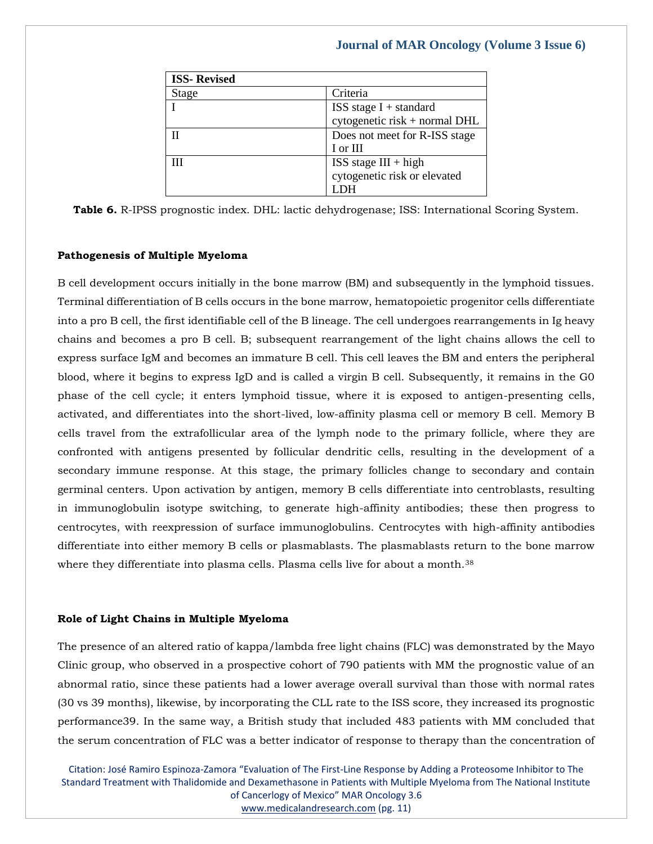| <b>ISS-Revised</b> |                               |
|--------------------|-------------------------------|
| <b>Stage</b>       | Criteria                      |
|                    | ISS stage $I +$ standard      |
|                    | cytogenetic risk + normal DHL |
|                    | Does not meet for R-ISS stage |
|                    | I or III                      |
|                    | $ISS\ stage\ III + high$      |
|                    | cytogenetic risk or elevated  |
|                    |                               |

**Table 6.** R-IPSS prognostic index. DHL: lactic dehydrogenase; ISS: International Scoring System.

#### **Pathogenesis of Multiple Myeloma**

B cell development occurs initially in the bone marrow (BM) and subsequently in the lymphoid tissues. Terminal differentiation of B cells occurs in the bone marrow, hematopoietic progenitor cells differentiate into a pro B cell, the first identifiable cell of the B lineage. The cell undergoes rearrangements in Ig heavy chains and becomes a pro B cell. B; subsequent rearrangement of the light chains allows the cell to express surface IgM and becomes an immature B cell. This cell leaves the BM and enters the peripheral blood, where it begins to express IgD and is called a virgin B cell. Subsequently, it remains in the G0 phase of the cell cycle; it enters lymphoid tissue, where it is exposed to antigen-presenting cells, activated, and differentiates into the short-lived, low-affinity plasma cell or memory B cell. Memory B cells travel from the extrafollicular area of the lymph node to the primary follicle, where they are confronted with antigens presented by follicular dendritic cells, resulting in the development of a secondary immune response. At this stage, the primary follicles change to secondary and contain germinal centers. Upon activation by antigen, memory B cells differentiate into centroblasts, resulting in immunoglobulin isotype switching, to generate high-affinity antibodies; these then progress to centrocytes, with reexpression of surface immunoglobulins. Centrocytes with high-affinity antibodies differentiate into either memory B cells or plasmablasts. The plasmablasts return to the bone marrow where they differentiate into plasma cells. Plasma cells live for about a month.<sup>38</sup>

# **Role of Light Chains in Multiple Myeloma**

The presence of an altered ratio of kappa/lambda free light chains (FLC) was demonstrated by the Mayo Clinic group, who observed in a prospective cohort of 790 patients with MM the prognostic value of an abnormal ratio, since these patients had a lower average overall survival than those with normal rates (30 vs 39 months), likewise, by incorporating the CLL rate to the ISS score, they increased its prognostic performance39. In the same way, a British study that included 483 patients with MM concluded that the serum concentration of FLC was a better indicator of response to therapy than the concentration of

Citation: José Ramiro Espinoza-Zamora "Evaluation of The First-Line Response by Adding a Proteosome Inhibitor to The Standard Treatment with Thalidomide and Dexamethasone in Patients with Multiple Myeloma from The National Institute of Cancerlogy of Mexico" MAR Oncology 3.6 [www.medicalandresearch.com](http://www.medicalandresearch.com/) (pg. 11)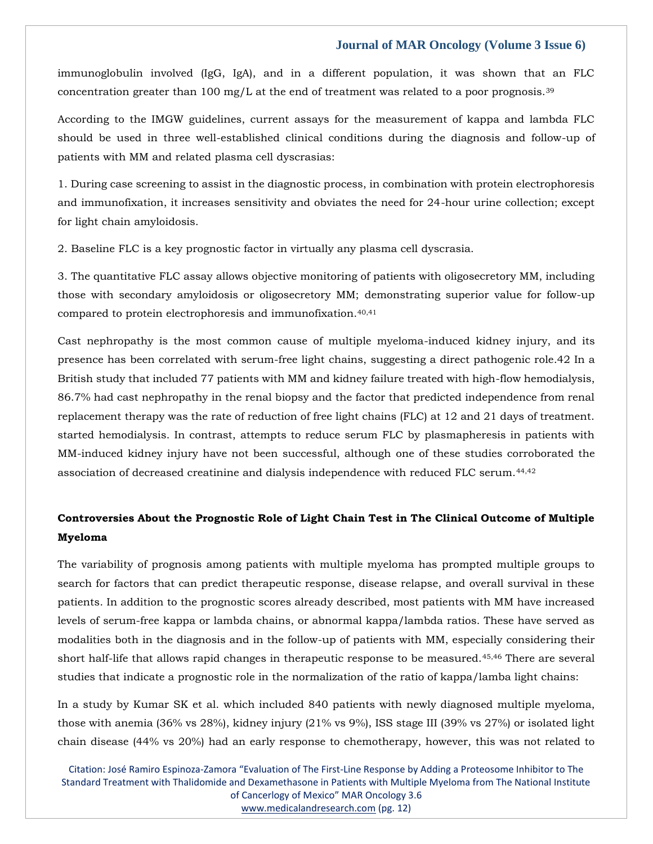immunoglobulin involved (IgG, IgA), and in a different population, it was shown that an FLC concentration greater than 100 mg/L at the end of treatment was related to a poor prognosis.<sup>39</sup>

According to the IMGW guidelines, current assays for the measurement of kappa and lambda FLC should be used in three well-established clinical conditions during the diagnosis and follow-up of patients with MM and related plasma cell dyscrasias:

1. During case screening to assist in the diagnostic process, in combination with protein electrophoresis and immunofixation, it increases sensitivity and obviates the need for 24-hour urine collection; except for light chain amyloidosis.

2. Baseline FLC is a key prognostic factor in virtually any plasma cell dyscrasia.

3. The quantitative FLC assay allows objective monitoring of patients with oligosecretory MM, including those with secondary amyloidosis or oligosecretory MM; demonstrating superior value for follow-up compared to protein electrophoresis and immunofixation.<sup>40,41</sup>

Cast nephropathy is the most common cause of multiple myeloma-induced kidney injury, and its presence has been correlated with serum-free light chains, suggesting a direct pathogenic role.42 In a British study that included 77 patients with MM and kidney failure treated with high-flow hemodialysis, 86.7% had cast nephropathy in the renal biopsy and the factor that predicted independence from renal replacement therapy was the rate of reduction of free light chains (FLC) at 12 and 21 days of treatment. started hemodialysis. In contrast, attempts to reduce serum FLC by plasmapheresis in patients with MM-induced kidney injury have not been successful, although one of these studies corroborated the association of decreased creatinine and dialysis independence with reduced FLC serum.44,42

# **Controversies About the Prognostic Role of Light Chain Test in The Clinical Outcome of Multiple Myeloma**

The variability of prognosis among patients with multiple myeloma has prompted multiple groups to search for factors that can predict therapeutic response, disease relapse, and overall survival in these patients. In addition to the prognostic scores already described, most patients with MM have increased levels of serum-free kappa or lambda chains, or abnormal kappa/lambda ratios. These have served as modalities both in the diagnosis and in the follow-up of patients with MM, especially considering their short half-life that allows rapid changes in therapeutic response to be measured.45,46 There are several studies that indicate a prognostic role in the normalization of the ratio of kappa/lamba light chains:

In a study by Kumar SK et al. which included 840 patients with newly diagnosed multiple myeloma, those with anemia (36% vs 28%), kidney injury (21% vs 9%), ISS stage III (39% vs 27%) or isolated light chain disease (44% vs 20%) had an early response to chemotherapy, however, this was not related to

Citation: José Ramiro Espinoza-Zamora "Evaluation of The First-Line Response by Adding a Proteosome Inhibitor to The Standard Treatment with Thalidomide and Dexamethasone in Patients with Multiple Myeloma from The National Institute of Cancerlogy of Mexico" MAR Oncology 3.6 [www.medicalandresearch.com](http://www.medicalandresearch.com/) (pg. 12)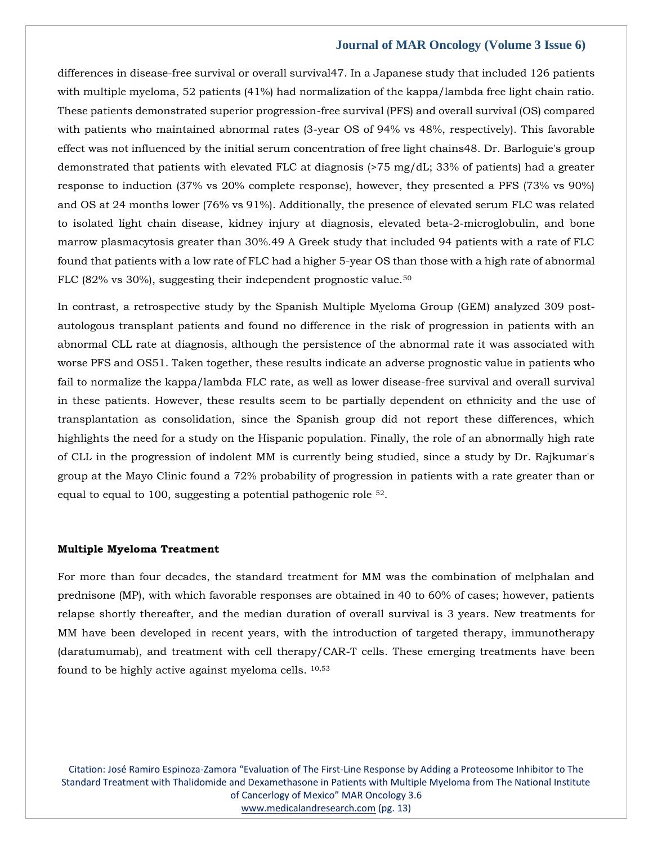differences in disease-free survival or overall survival 47. In a Japanese study that included 126 patients with multiple myeloma, 52 patients (41%) had normalization of the kappa/lambda free light chain ratio. These patients demonstrated superior progression-free survival (PFS) and overall survival (OS) compared with patients who maintained abnormal rates (3-year OS of 94% vs 48%, respectively). This favorable effect was not influenced by the initial serum concentration of free light chains48. Dr. Barloguie's group demonstrated that patients with elevated FLC at diagnosis (>75 mg/dL; 33% of patients) had a greater response to induction (37% vs 20% complete response), however, they presented a PFS (73% vs 90%) and OS at 24 months lower (76% vs 91%). Additionally, the presence of elevated serum FLC was related to isolated light chain disease, kidney injury at diagnosis, elevated beta-2-microglobulin, and bone marrow plasmacytosis greater than 30%.49 A Greek study that included 94 patients with a rate of FLC found that patients with a low rate of FLC had a higher 5-year OS than those with a high rate of abnormal FLC (82% vs 30%), suggesting their independent prognostic value.<sup>50</sup>

In contrast, a retrospective study by the Spanish Multiple Myeloma Group (GEM) analyzed 309 postautologous transplant patients and found no difference in the risk of progression in patients with an abnormal CLL rate at diagnosis, although the persistence of the abnormal rate it was associated with worse PFS and OS51. Taken together, these results indicate an adverse prognostic value in patients who fail to normalize the kappa/lambda FLC rate, as well as lower disease-free survival and overall survival in these patients. However, these results seem to be partially dependent on ethnicity and the use of transplantation as consolidation, since the Spanish group did not report these differences, which highlights the need for a study on the Hispanic population. Finally, the role of an abnormally high rate of CLL in the progression of indolent MM is currently being studied, since a study by Dr. Rajkumar's group at the Mayo Clinic found a 72% probability of progression in patients with a rate greater than or equal to equal to 100, suggesting a potential pathogenic role <sup>52</sup>.

#### **Multiple Myeloma Treatment**

For more than four decades, the standard treatment for MM was the combination of melphalan and prednisone (MP), with which favorable responses are obtained in 40 to 60% of cases; however, patients relapse shortly thereafter, and the median duration of overall survival is 3 years. New treatments for MM have been developed in recent years, with the introduction of targeted therapy, immunotherapy (daratumumab), and treatment with cell therapy/CAR-T cells. These emerging treatments have been found to be highly active against myeloma cells. 10,53

Citation: José Ramiro Espinoza-Zamora "Evaluation of The First-Line Response by Adding a Proteosome Inhibitor to The Standard Treatment with Thalidomide and Dexamethasone in Patients with Multiple Myeloma from The National Institute of Cancerlogy of Mexico" MAR Oncology 3.6 [www.medicalandresearch.com](http://www.medicalandresearch.com/) (pg. 13)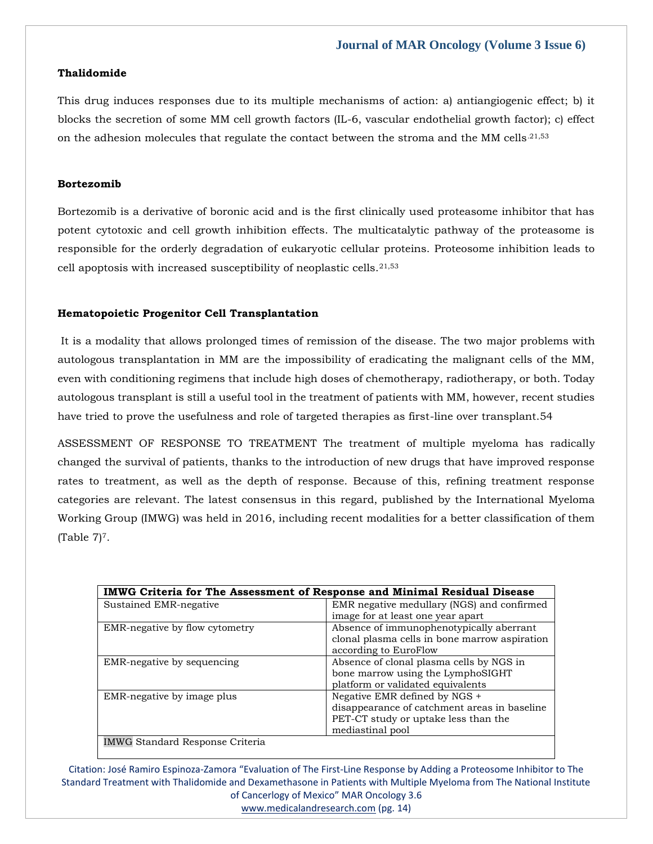# **Thalidomide**

This drug induces responses due to its multiple mechanisms of action: a) antiangiogenic effect; b) it blocks the secretion of some MM cell growth factors (IL-6, vascular endothelial growth factor); c) effect on the adhesion molecules that regulate the contact between the stroma and the MM cells.21,53

# **Bortezomib**

Bortezomib is a derivative of boronic acid and is the first clinically used proteasome inhibitor that has potent cytotoxic and cell growth inhibition effects. The multicatalytic pathway of the proteasome is responsible for the orderly degradation of eukaryotic cellular proteins. Proteosome inhibition leads to cell apoptosis with increased susceptibility of neoplastic cells.21,53

# **Hematopoietic Progenitor Cell Transplantation**

It is a modality that allows prolonged times of remission of the disease. The two major problems with autologous transplantation in MM are the impossibility of eradicating the malignant cells of the MM, even with conditioning regimens that include high doses of chemotherapy, radiotherapy, or both. Today autologous transplant is still a useful tool in the treatment of patients with MM, however, recent studies have tried to prove the usefulness and role of targeted therapies as first-line over transplant.54

ASSESSMENT OF RESPONSE TO TREATMENT The treatment of multiple myeloma has radically changed the survival of patients, thanks to the introduction of new drugs that have improved response rates to treatment, as well as the depth of response. Because of this, refining treatment response categories are relevant. The latest consensus in this regard, published by the International Myeloma Working Group (IMWG) was held in 2016, including recent modalities for a better classification of them  $(Table 7)<sup>7</sup>$ .

| <b>IMWG Criteria for The Assessment of Response and Minimal Residual Disease</b> |                                               |  |  |  |  |
|----------------------------------------------------------------------------------|-----------------------------------------------|--|--|--|--|
| Sustained EMR-negative                                                           | EMR negative medullary (NGS) and confirmed    |  |  |  |  |
|                                                                                  | image for at least one year apart             |  |  |  |  |
| EMR-negative by flow cytometry                                                   | Absence of immunophenotypically aberrant      |  |  |  |  |
|                                                                                  | clonal plasma cells in bone marrow aspiration |  |  |  |  |
|                                                                                  | according to EuroFlow                         |  |  |  |  |
| EMR-negative by sequencing                                                       | Absence of clonal plasma cells by NGS in      |  |  |  |  |
|                                                                                  | bone marrow using the LymphoSIGHT             |  |  |  |  |
|                                                                                  | platform or validated equivalents             |  |  |  |  |
| EMR-negative by image plus                                                       | Negative EMR defined by NGS +                 |  |  |  |  |
|                                                                                  | disappearance of catchment areas in baseline  |  |  |  |  |
|                                                                                  | PET-CT study or uptake less than the          |  |  |  |  |
|                                                                                  | mediastinal pool                              |  |  |  |  |
| <b>IMWG Standard Response Criteria</b>                                           |                                               |  |  |  |  |

Citation: José Ramiro Espinoza-Zamora "Evaluation of The First-Line Response by Adding a Proteosome Inhibitor to The Standard Treatment with Thalidomide and Dexamethasone in Patients with Multiple Myeloma from The National Institute of Cancerlogy of Mexico" MAR Oncology 3.6

[www.medicalandresearch.com](http://www.medicalandresearch.com/) (pg. 14)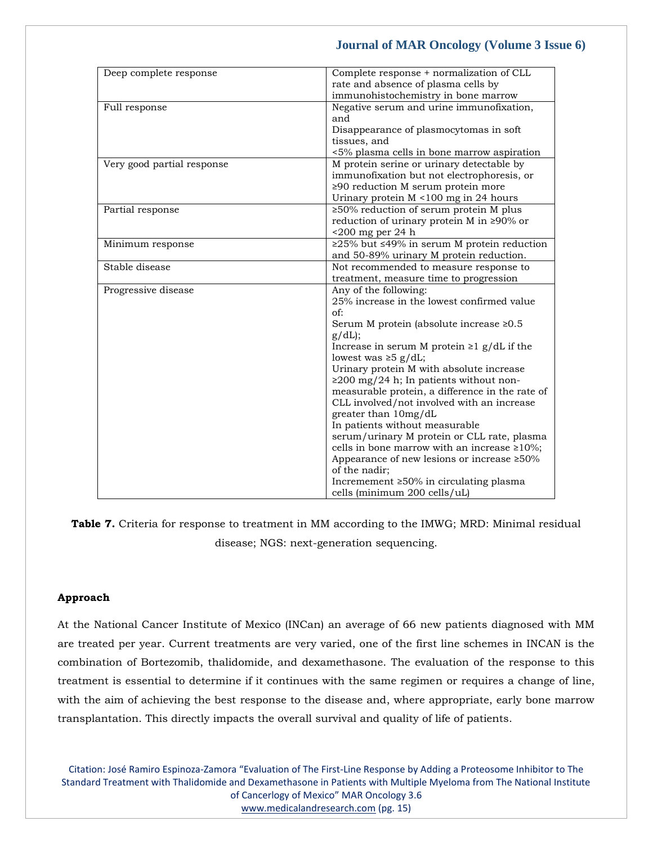| rate and absence of plasma cells by<br>immunohistochemistry in bone marrow<br>Negative serum and urine immunofixation,<br>Full response<br>and<br>Disappearance of plasmocytomas in soft<br>tissues, and<br><5% plasma cells in bone marrow aspiration<br>Very good partial response<br>M protein serine or urinary detectable by<br>immunofixation but not electrophoresis, or<br>$\geq$ 90 reduction M serum protein more<br>Urinary protein M <100 mg in 24 hours<br>$\geq$ 50% reduction of serum protein M plus<br>Partial response<br>reduction of urinary protein M in $\geq 90\%$ or<br>$\leq$ 200 mg per 24 h<br>≥25% but ≤49% in serum M protein reduction<br>Minimum response<br>and 50-89% urinary M protein reduction.<br>Stable disease<br>Not recommended to measure response to<br>treatment, measure time to progression<br>Any of the following:<br>Progressive disease<br>25% increase in the lowest confirmed value<br>of:<br>Serum M protein (absolute increase ≥0.5<br>$g/dL$ ;<br>Increase in serum M protein $\geq 1$ g/dL if the<br>lowest was $\geq 5$ g/dL;<br>Urinary protein M with absolute increase<br>$\geq$ 200 mg/24 h; In patients without non-<br>measurable protein, a difference in the rate of<br>CLL involved/not involved with an increase<br>greater than 10mg/dL<br>In patients without measurable<br>serum/urinary M protein or CLL rate, plasma<br>cells in bone marrow with an increase $\geq 10\%$ ;<br>Appearance of new lesions or increase ≥50%<br>of the nadir;<br>Incremement $\geq 50\%$ in circulating plasma | Deep complete response | Complete response + normalization of CLL |
|---------------------------------------------------------------------------------------------------------------------------------------------------------------------------------------------------------------------------------------------------------------------------------------------------------------------------------------------------------------------------------------------------------------------------------------------------------------------------------------------------------------------------------------------------------------------------------------------------------------------------------------------------------------------------------------------------------------------------------------------------------------------------------------------------------------------------------------------------------------------------------------------------------------------------------------------------------------------------------------------------------------------------------------------------------------------------------------------------------------------------------------------------------------------------------------------------------------------------------------------------------------------------------------------------------------------------------------------------------------------------------------------------------------------------------------------------------------------------------------------------------------------------------------------------------------------|------------------------|------------------------------------------|
|                                                                                                                                                                                                                                                                                                                                                                                                                                                                                                                                                                                                                                                                                                                                                                                                                                                                                                                                                                                                                                                                                                                                                                                                                                                                                                                                                                                                                                                                                                                                                                     |                        |                                          |
|                                                                                                                                                                                                                                                                                                                                                                                                                                                                                                                                                                                                                                                                                                                                                                                                                                                                                                                                                                                                                                                                                                                                                                                                                                                                                                                                                                                                                                                                                                                                                                     |                        |                                          |
|                                                                                                                                                                                                                                                                                                                                                                                                                                                                                                                                                                                                                                                                                                                                                                                                                                                                                                                                                                                                                                                                                                                                                                                                                                                                                                                                                                                                                                                                                                                                                                     |                        |                                          |
|                                                                                                                                                                                                                                                                                                                                                                                                                                                                                                                                                                                                                                                                                                                                                                                                                                                                                                                                                                                                                                                                                                                                                                                                                                                                                                                                                                                                                                                                                                                                                                     |                        |                                          |
|                                                                                                                                                                                                                                                                                                                                                                                                                                                                                                                                                                                                                                                                                                                                                                                                                                                                                                                                                                                                                                                                                                                                                                                                                                                                                                                                                                                                                                                                                                                                                                     |                        |                                          |
|                                                                                                                                                                                                                                                                                                                                                                                                                                                                                                                                                                                                                                                                                                                                                                                                                                                                                                                                                                                                                                                                                                                                                                                                                                                                                                                                                                                                                                                                                                                                                                     |                        |                                          |
|                                                                                                                                                                                                                                                                                                                                                                                                                                                                                                                                                                                                                                                                                                                                                                                                                                                                                                                                                                                                                                                                                                                                                                                                                                                                                                                                                                                                                                                                                                                                                                     |                        |                                          |
|                                                                                                                                                                                                                                                                                                                                                                                                                                                                                                                                                                                                                                                                                                                                                                                                                                                                                                                                                                                                                                                                                                                                                                                                                                                                                                                                                                                                                                                                                                                                                                     |                        |                                          |
|                                                                                                                                                                                                                                                                                                                                                                                                                                                                                                                                                                                                                                                                                                                                                                                                                                                                                                                                                                                                                                                                                                                                                                                                                                                                                                                                                                                                                                                                                                                                                                     |                        |                                          |
|                                                                                                                                                                                                                                                                                                                                                                                                                                                                                                                                                                                                                                                                                                                                                                                                                                                                                                                                                                                                                                                                                                                                                                                                                                                                                                                                                                                                                                                                                                                                                                     |                        |                                          |
|                                                                                                                                                                                                                                                                                                                                                                                                                                                                                                                                                                                                                                                                                                                                                                                                                                                                                                                                                                                                                                                                                                                                                                                                                                                                                                                                                                                                                                                                                                                                                                     |                        |                                          |
|                                                                                                                                                                                                                                                                                                                                                                                                                                                                                                                                                                                                                                                                                                                                                                                                                                                                                                                                                                                                                                                                                                                                                                                                                                                                                                                                                                                                                                                                                                                                                                     |                        |                                          |
|                                                                                                                                                                                                                                                                                                                                                                                                                                                                                                                                                                                                                                                                                                                                                                                                                                                                                                                                                                                                                                                                                                                                                                                                                                                                                                                                                                                                                                                                                                                                                                     |                        |                                          |
|                                                                                                                                                                                                                                                                                                                                                                                                                                                                                                                                                                                                                                                                                                                                                                                                                                                                                                                                                                                                                                                                                                                                                                                                                                                                                                                                                                                                                                                                                                                                                                     |                        |                                          |
|                                                                                                                                                                                                                                                                                                                                                                                                                                                                                                                                                                                                                                                                                                                                                                                                                                                                                                                                                                                                                                                                                                                                                                                                                                                                                                                                                                                                                                                                                                                                                                     |                        |                                          |
|                                                                                                                                                                                                                                                                                                                                                                                                                                                                                                                                                                                                                                                                                                                                                                                                                                                                                                                                                                                                                                                                                                                                                                                                                                                                                                                                                                                                                                                                                                                                                                     |                        |                                          |
|                                                                                                                                                                                                                                                                                                                                                                                                                                                                                                                                                                                                                                                                                                                                                                                                                                                                                                                                                                                                                                                                                                                                                                                                                                                                                                                                                                                                                                                                                                                                                                     |                        |                                          |
|                                                                                                                                                                                                                                                                                                                                                                                                                                                                                                                                                                                                                                                                                                                                                                                                                                                                                                                                                                                                                                                                                                                                                                                                                                                                                                                                                                                                                                                                                                                                                                     |                        |                                          |
|                                                                                                                                                                                                                                                                                                                                                                                                                                                                                                                                                                                                                                                                                                                                                                                                                                                                                                                                                                                                                                                                                                                                                                                                                                                                                                                                                                                                                                                                                                                                                                     |                        |                                          |
|                                                                                                                                                                                                                                                                                                                                                                                                                                                                                                                                                                                                                                                                                                                                                                                                                                                                                                                                                                                                                                                                                                                                                                                                                                                                                                                                                                                                                                                                                                                                                                     |                        |                                          |
|                                                                                                                                                                                                                                                                                                                                                                                                                                                                                                                                                                                                                                                                                                                                                                                                                                                                                                                                                                                                                                                                                                                                                                                                                                                                                                                                                                                                                                                                                                                                                                     |                        |                                          |
|                                                                                                                                                                                                                                                                                                                                                                                                                                                                                                                                                                                                                                                                                                                                                                                                                                                                                                                                                                                                                                                                                                                                                                                                                                                                                                                                                                                                                                                                                                                                                                     |                        |                                          |
|                                                                                                                                                                                                                                                                                                                                                                                                                                                                                                                                                                                                                                                                                                                                                                                                                                                                                                                                                                                                                                                                                                                                                                                                                                                                                                                                                                                                                                                                                                                                                                     |                        |                                          |
|                                                                                                                                                                                                                                                                                                                                                                                                                                                                                                                                                                                                                                                                                                                                                                                                                                                                                                                                                                                                                                                                                                                                                                                                                                                                                                                                                                                                                                                                                                                                                                     |                        |                                          |
|                                                                                                                                                                                                                                                                                                                                                                                                                                                                                                                                                                                                                                                                                                                                                                                                                                                                                                                                                                                                                                                                                                                                                                                                                                                                                                                                                                                                                                                                                                                                                                     |                        |                                          |
|                                                                                                                                                                                                                                                                                                                                                                                                                                                                                                                                                                                                                                                                                                                                                                                                                                                                                                                                                                                                                                                                                                                                                                                                                                                                                                                                                                                                                                                                                                                                                                     |                        |                                          |
|                                                                                                                                                                                                                                                                                                                                                                                                                                                                                                                                                                                                                                                                                                                                                                                                                                                                                                                                                                                                                                                                                                                                                                                                                                                                                                                                                                                                                                                                                                                                                                     |                        |                                          |
|                                                                                                                                                                                                                                                                                                                                                                                                                                                                                                                                                                                                                                                                                                                                                                                                                                                                                                                                                                                                                                                                                                                                                                                                                                                                                                                                                                                                                                                                                                                                                                     |                        |                                          |
|                                                                                                                                                                                                                                                                                                                                                                                                                                                                                                                                                                                                                                                                                                                                                                                                                                                                                                                                                                                                                                                                                                                                                                                                                                                                                                                                                                                                                                                                                                                                                                     |                        |                                          |
|                                                                                                                                                                                                                                                                                                                                                                                                                                                                                                                                                                                                                                                                                                                                                                                                                                                                                                                                                                                                                                                                                                                                                                                                                                                                                                                                                                                                                                                                                                                                                                     |                        |                                          |
|                                                                                                                                                                                                                                                                                                                                                                                                                                                                                                                                                                                                                                                                                                                                                                                                                                                                                                                                                                                                                                                                                                                                                                                                                                                                                                                                                                                                                                                                                                                                                                     |                        |                                          |
|                                                                                                                                                                                                                                                                                                                                                                                                                                                                                                                                                                                                                                                                                                                                                                                                                                                                                                                                                                                                                                                                                                                                                                                                                                                                                                                                                                                                                                                                                                                                                                     |                        |                                          |
|                                                                                                                                                                                                                                                                                                                                                                                                                                                                                                                                                                                                                                                                                                                                                                                                                                                                                                                                                                                                                                                                                                                                                                                                                                                                                                                                                                                                                                                                                                                                                                     |                        |                                          |
|                                                                                                                                                                                                                                                                                                                                                                                                                                                                                                                                                                                                                                                                                                                                                                                                                                                                                                                                                                                                                                                                                                                                                                                                                                                                                                                                                                                                                                                                                                                                                                     |                        |                                          |
|                                                                                                                                                                                                                                                                                                                                                                                                                                                                                                                                                                                                                                                                                                                                                                                                                                                                                                                                                                                                                                                                                                                                                                                                                                                                                                                                                                                                                                                                                                                                                                     |                        |                                          |
|                                                                                                                                                                                                                                                                                                                                                                                                                                                                                                                                                                                                                                                                                                                                                                                                                                                                                                                                                                                                                                                                                                                                                                                                                                                                                                                                                                                                                                                                                                                                                                     |                        |                                          |
|                                                                                                                                                                                                                                                                                                                                                                                                                                                                                                                                                                                                                                                                                                                                                                                                                                                                                                                                                                                                                                                                                                                                                                                                                                                                                                                                                                                                                                                                                                                                                                     |                        |                                          |
|                                                                                                                                                                                                                                                                                                                                                                                                                                                                                                                                                                                                                                                                                                                                                                                                                                                                                                                                                                                                                                                                                                                                                                                                                                                                                                                                                                                                                                                                                                                                                                     |                        | cells (minimum 200 cells/uL)             |
|                                                                                                                                                                                                                                                                                                                                                                                                                                                                                                                                                                                                                                                                                                                                                                                                                                                                                                                                                                                                                                                                                                                                                                                                                                                                                                                                                                                                                                                                                                                                                                     |                        |                                          |

**Table 7.** Criteria for response to treatment in MM according to the IMWG; MRD: Minimal residual disease; NGS: next-generation sequencing.

# **Approach**

At the National Cancer Institute of Mexico (INCan) an average of 66 new patients diagnosed with MM are treated per year. Current treatments are very varied, one of the first line schemes in INCAN is the combination of Bortezomib, thalidomide, and dexamethasone. The evaluation of the response to this treatment is essential to determine if it continues with the same regimen or requires a change of line, with the aim of achieving the best response to the disease and, where appropriate, early bone marrow transplantation. This directly impacts the overall survival and quality of life of patients.

Citation: José Ramiro Espinoza-Zamora "Evaluation of The First-Line Response by Adding a Proteosome Inhibitor to The Standard Treatment with Thalidomide and Dexamethasone in Patients with Multiple Myeloma from The National Institute of Cancerlogy of Mexico" MAR Oncology 3.6 [www.medicalandresearch.com](http://www.medicalandresearch.com/) (pg. 15)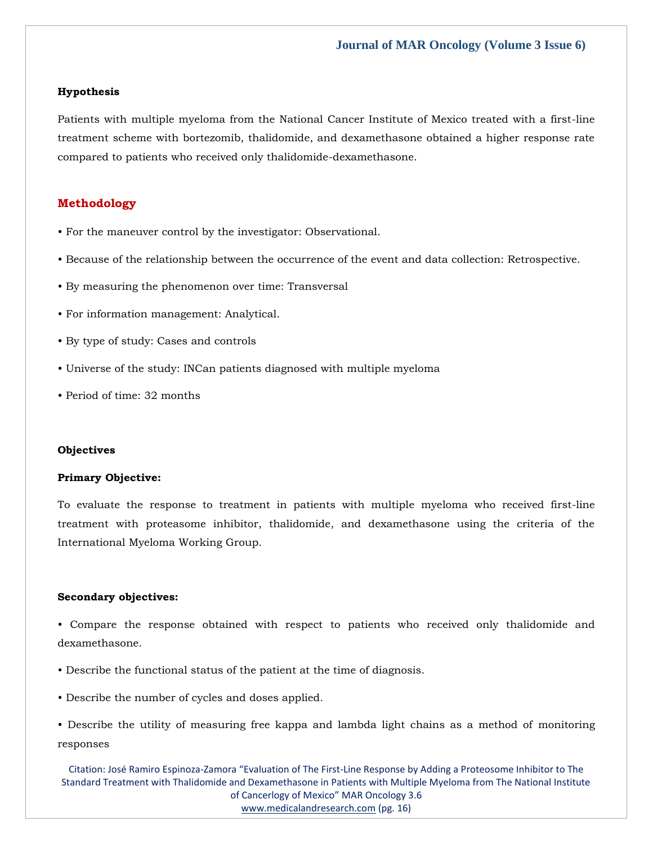# **Hypothesis**

Patients with multiple myeloma from the National Cancer Institute of Mexico treated with a first-line treatment scheme with bortezomib, thalidomide, and dexamethasone obtained a higher response rate compared to patients who received only thalidomide-dexamethasone.

# **Methodology**

- For the maneuver control by the investigator: Observational.
- Because of the relationship between the occurrence of the event and data collection: Retrospective.
- By measuring the phenomenon over time: Transversal
- For information management: Analytical.
- By type of study: Cases and controls
- Universe of the study: INCan patients diagnosed with multiple myeloma
- Period of time: 32 months

# **Objectives**

#### **Primary Objective:**

To evaluate the response to treatment in patients with multiple myeloma who received first-line treatment with proteasome inhibitor, thalidomide, and dexamethasone using the criteria of the International Myeloma Working Group.

# **Secondary objectives:**

• Compare the response obtained with respect to patients who received only thalidomide and dexamethasone.

- Describe the functional status of the patient at the time of diagnosis.
- Describe the number of cycles and doses applied.

• Describe the utility of measuring free kappa and lambda light chains as a method of monitoring responses

Citation: José Ramiro Espinoza-Zamora "Evaluation of The First-Line Response by Adding a Proteosome Inhibitor to The Standard Treatment with Thalidomide and Dexamethasone in Patients with Multiple Myeloma from The National Institute of Cancerlogy of Mexico" MAR Oncology 3.6 [www.medicalandresearch.com](http://www.medicalandresearch.com/) (pg. 16)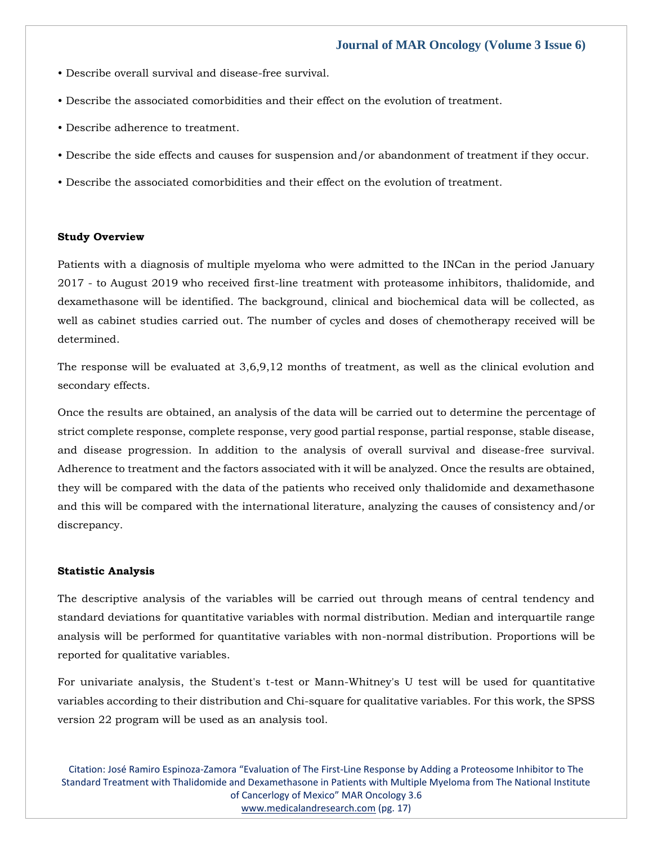- Describe overall survival and disease-free survival.
- Describe the associated comorbidities and their effect on the evolution of treatment.
- Describe adherence to treatment.
- Describe the side effects and causes for suspension and/or abandonment of treatment if they occur.
- Describe the associated comorbidities and their effect on the evolution of treatment.

#### **Study Overview**

Patients with a diagnosis of multiple myeloma who were admitted to the INCan in the period January 2017 - to August 2019 who received first-line treatment with proteasome inhibitors, thalidomide, and dexamethasone will be identified. The background, clinical and biochemical data will be collected, as well as cabinet studies carried out. The number of cycles and doses of chemotherapy received will be determined.

The response will be evaluated at 3,6,9,12 months of treatment, as well as the clinical evolution and secondary effects.

Once the results are obtained, an analysis of the data will be carried out to determine the percentage of strict complete response, complete response, very good partial response, partial response, stable disease, and disease progression. In addition to the analysis of overall survival and disease-free survival. Adherence to treatment and the factors associated with it will be analyzed. Once the results are obtained, they will be compared with the data of the patients who received only thalidomide and dexamethasone and this will be compared with the international literature, analyzing the causes of consistency and/or discrepancy.

#### **Statistic Analysis**

The descriptive analysis of the variables will be carried out through means of central tendency and standard deviations for quantitative variables with normal distribution. Median and interquartile range analysis will be performed for quantitative variables with non-normal distribution. Proportions will be reported for qualitative variables.

For univariate analysis, the Student's t-test or Mann-Whitney's U test will be used for quantitative variables according to their distribution and Chi-square for qualitative variables. For this work, the SPSS version 22 program will be used as an analysis tool.

Citation: José Ramiro Espinoza-Zamora "Evaluation of The First-Line Response by Adding a Proteosome Inhibitor to The Standard Treatment with Thalidomide and Dexamethasone in Patients with Multiple Myeloma from The National Institute of Cancerlogy of Mexico" MAR Oncology 3.6 [www.medicalandresearch.com](http://www.medicalandresearch.com/) (pg. 17)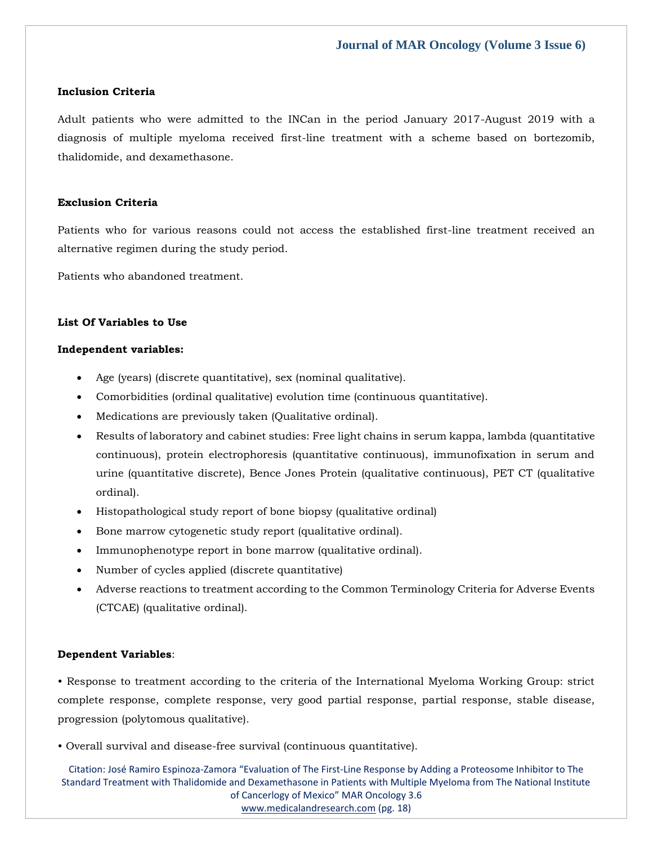#### **Inclusion Criteria**

Adult patients who were admitted to the INCan in the period January 2017-August 2019 with a diagnosis of multiple myeloma received first-line treatment with a scheme based on bortezomib, thalidomide, and dexamethasone.

# **Exclusion Criteria**

Patients who for various reasons could not access the established first-line treatment received an alternative regimen during the study period.

Patients who abandoned treatment.

# **List Of Variables to Use**

#### **Independent variables:**

- Age (years) (discrete quantitative), sex (nominal qualitative).
- Comorbidities (ordinal qualitative) evolution time (continuous quantitative).
- Medications are previously taken (Qualitative ordinal).
- Results of laboratory and cabinet studies: Free light chains in serum kappa, lambda (quantitative continuous), protein electrophoresis (quantitative continuous), immunofixation in serum and urine (quantitative discrete), Bence Jones Protein (qualitative continuous), PET CT (qualitative ordinal).
- Histopathological study report of bone biopsy (qualitative ordinal)
- Bone marrow cytogenetic study report (qualitative ordinal).
- Immunophenotype report in bone marrow (qualitative ordinal).
- Number of cycles applied (discrete quantitative)
- Adverse reactions to treatment according to the Common Terminology Criteria for Adverse Events (CTCAE) (qualitative ordinal).

# **Dependent Variables**:

• Response to treatment according to the criteria of the International Myeloma Working Group: strict complete response, complete response, very good partial response, partial response, stable disease, progression (polytomous qualitative).

• Overall survival and disease-free survival (continuous quantitative).

Citation: José Ramiro Espinoza-Zamora "Evaluation of The First-Line Response by Adding a Proteosome Inhibitor to The Standard Treatment with Thalidomide and Dexamethasone in Patients with Multiple Myeloma from The National Institute of Cancerlogy of Mexico" MAR Oncology 3.6 [www.medicalandresearch.com](http://www.medicalandresearch.com/) (pg. 18)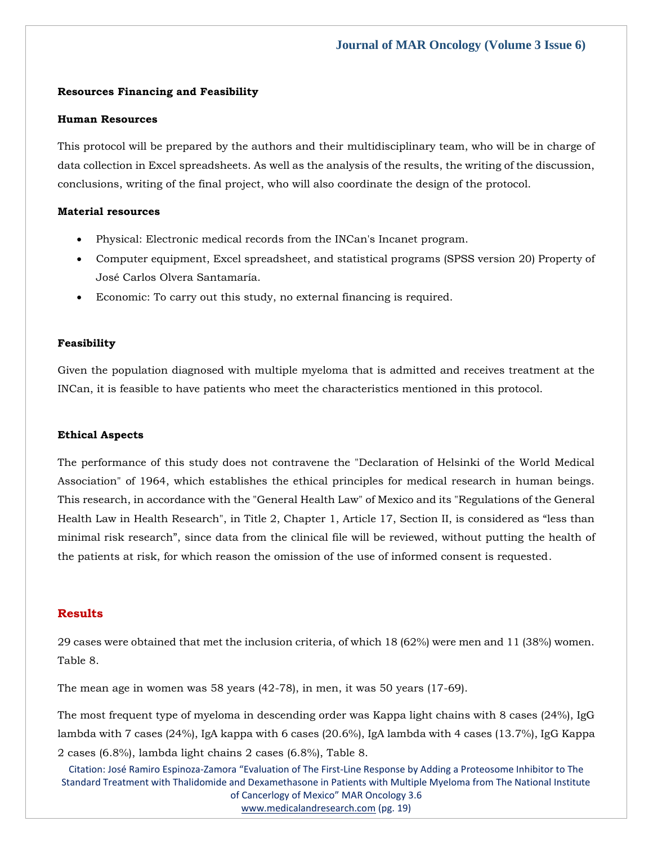# **Resources Financing and Feasibility**

## **Human Resources**

This protocol will be prepared by the authors and their multidisciplinary team, who will be in charge of data collection in Excel spreadsheets. As well as the analysis of the results, the writing of the discussion, conclusions, writing of the final project, who will also coordinate the design of the protocol.

# **Material resources**

- Physical: Electronic medical records from the INCan's Incanet program.
- Computer equipment, Excel spreadsheet, and statistical programs (SPSS version 20) Property of José Carlos Olvera Santamaría.
- Economic: To carry out this study, no external financing is required.

# **Feasibility**

Given the population diagnosed with multiple myeloma that is admitted and receives treatment at the INCan, it is feasible to have patients who meet the characteristics mentioned in this protocol.

#### **Ethical Aspects**

The performance of this study does not contravene the "Declaration of Helsinki of the World Medical Association" of 1964, which establishes the ethical principles for medical research in human beings. This research, in accordance with the "General Health Law" of Mexico and its "Regulations of the General Health Law in Health Research", in Title 2, Chapter 1, Article 17, Section II, is considered as "less than minimal risk research", since data from the clinical file will be reviewed, without putting the health of the patients at risk, for which reason the omission of the use of informed consent is requested.

# **Results**

29 cases were obtained that met the inclusion criteria, of which 18 (62%) were men and 11 (38%) women. Table 8.

The mean age in women was 58 years (42-78), in men, it was 50 years (17-69).

The most frequent type of myeloma in descending order was Kappa light chains with 8 cases (24%), IgG lambda with 7 cases (24%), IgA kappa with 6 cases (20.6%), IgA lambda with 4 cases (13.7%), IgG Kappa 2 cases (6.8%), lambda light chains 2 cases (6.8%), Table 8.

Citation: José Ramiro Espinoza-Zamora "Evaluation of The First-Line Response by Adding a Proteosome Inhibitor to The Standard Treatment with Thalidomide and Dexamethasone in Patients with Multiple Myeloma from The National Institute of Cancerlogy of Mexico" MAR Oncology 3.6 [www.medicalandresearch.com](http://www.medicalandresearch.com/) (pg. 19)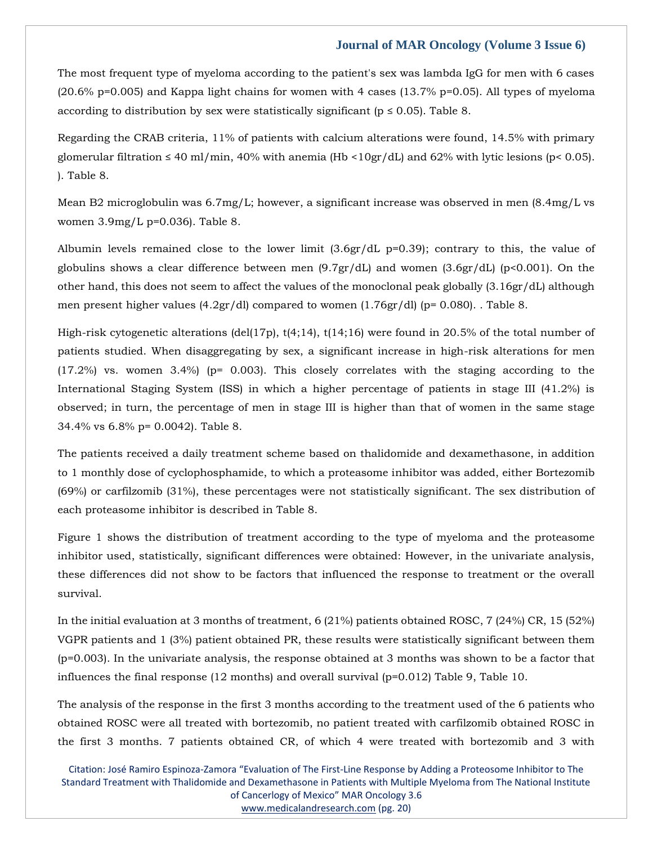The most frequent type of myeloma according to the patient's sex was lambda IgG for men with 6 cases (20.6% p=0.005) and Kappa light chains for women with 4 cases (13.7% p=0.05). All types of myeloma according to distribution by sex were statistically significant ( $p \le 0.05$ ). Table 8.

Regarding the CRAB criteria, 11% of patients with calcium alterations were found, 14.5% with primary glomerular filtration  $\leq 40$  ml/min, 40% with anemia (Hb <10gr/dL) and 62% with lytic lesions (p< 0.05). ). Table 8.

Mean B2 microglobulin was 6.7mg/L; however, a significant increase was observed in men (8.4mg/L vs women 3.9mg/L p=0.036). Table 8.

Albumin levels remained close to the lower limit  $(3.6gr/dL p=0.39)$ ; contrary to this, the value of globulins shows a clear difference between men  $(9.7gr/dL)$  and women  $(3.6gr/dL)$  (p<0.001). On the other hand, this does not seem to affect the values of the monoclonal peak globally (3.16gr/dL) although men present higher values  $(4.2gr/dl)$  compared to women  $(1.76gr/dl)$  (p= 0.080). . Table 8.

High-risk cytogenetic alterations (del(17p), t(4;14), t(14;16) were found in 20.5% of the total number of patients studied. When disaggregating by sex, a significant increase in high-risk alterations for men (17.2%) vs. women 3.4%) (p= 0.003). This closely correlates with the staging according to the International Staging System (ISS) in which a higher percentage of patients in stage III (41.2%) is observed; in turn, the percentage of men in stage III is higher than that of women in the same stage 34.4% vs 6.8% p= 0.0042). Table 8.

The patients received a daily treatment scheme based on thalidomide and dexamethasone, in addition to 1 monthly dose of cyclophosphamide, to which a proteasome inhibitor was added, either Bortezomib (69%) or carfilzomib (31%), these percentages were not statistically significant. The sex distribution of each proteasome inhibitor is described in Table 8.

Figure 1 shows the distribution of treatment according to the type of myeloma and the proteasome inhibitor used, statistically, significant differences were obtained: However, in the univariate analysis, these differences did not show to be factors that influenced the response to treatment or the overall survival.

In the initial evaluation at 3 months of treatment, 6 (21%) patients obtained ROSC, 7 (24%) CR, 15 (52%) VGPR patients and 1 (3%) patient obtained PR, these results were statistically significant between them (p=0.003). In the univariate analysis, the response obtained at 3 months was shown to be a factor that influences the final response (12 months) and overall survival (p=0.012) Table 9, Table 10.

The analysis of the response in the first 3 months according to the treatment used of the 6 patients who obtained ROSC were all treated with bortezomib, no patient treated with carfilzomib obtained ROSC in the first 3 months. 7 patients obtained CR, of which 4 were treated with bortezomib and 3 with

Citation: José Ramiro Espinoza-Zamora "Evaluation of The First-Line Response by Adding a Proteosome Inhibitor to The Standard Treatment with Thalidomide and Dexamethasone in Patients with Multiple Myeloma from The National Institute of Cancerlogy of Mexico" MAR Oncology 3.6 [www.medicalandresearch.com](http://www.medicalandresearch.com/) (pg. 20)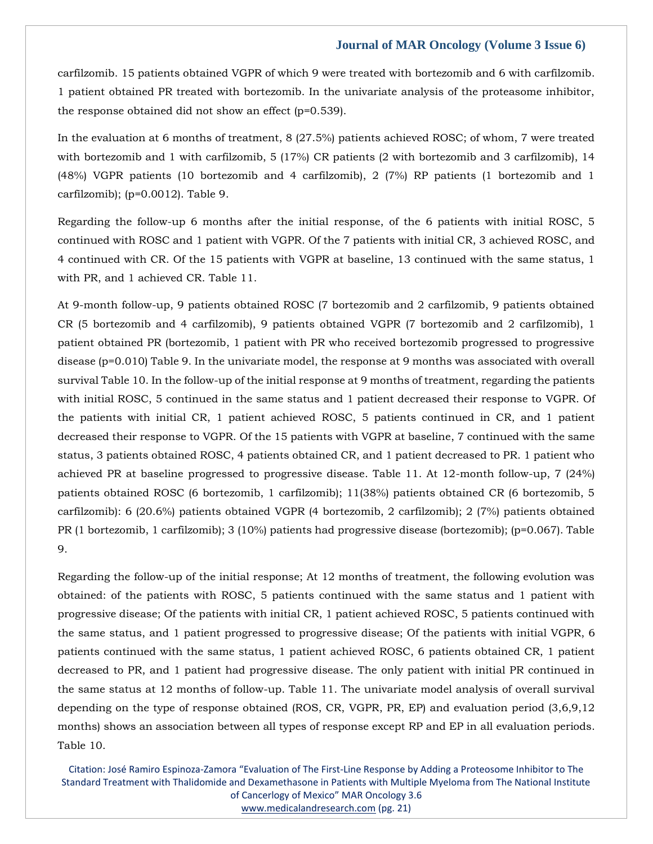carfilzomib. 15 patients obtained VGPR of which 9 were treated with bortezomib and 6 with carfilzomib. 1 patient obtained PR treated with bortezomib. In the univariate analysis of the proteasome inhibitor, the response obtained did not show an effect (p=0.539).

In the evaluation at 6 months of treatment, 8 (27.5%) patients achieved ROSC; of whom, 7 were treated with bortezomib and 1 with carfilzomib, 5 (17%) CR patients (2 with bortezomib and 3 carfilzomib), 14 (48%) VGPR patients (10 bortezomib and 4 carfilzomib), 2 (7%) RP patients (1 bortezomib and 1 carfilzomib); (p=0.0012). Table 9.

Regarding the follow-up 6 months after the initial response, of the 6 patients with initial ROSC, 5 continued with ROSC and 1 patient with VGPR. Of the 7 patients with initial CR, 3 achieved ROSC, and 4 continued with CR. Of the 15 patients with VGPR at baseline, 13 continued with the same status, 1 with PR, and 1 achieved CR. Table 11.

At 9-month follow-up, 9 patients obtained ROSC (7 bortezomib and 2 carfilzomib, 9 patients obtained CR (5 bortezomib and 4 carfilzomib), 9 patients obtained VGPR (7 bortezomib and 2 carfilzomib), 1 patient obtained PR (bortezomib, 1 patient with PR who received bortezomib progressed to progressive disease (p=0.010) Table 9. In the univariate model, the response at 9 months was associated with overall survival Table 10. In the follow-up of the initial response at 9 months of treatment, regarding the patients with initial ROSC, 5 continued in the same status and 1 patient decreased their response to VGPR. Of the patients with initial CR, 1 patient achieved ROSC, 5 patients continued in CR, and 1 patient decreased their response to VGPR. Of the 15 patients with VGPR at baseline, 7 continued with the same status, 3 patients obtained ROSC, 4 patients obtained CR, and 1 patient decreased to PR. 1 patient who achieved PR at baseline progressed to progressive disease. Table 11. At 12-month follow-up, 7 (24%) patients obtained ROSC (6 bortezomib, 1 carfilzomib); 11(38%) patients obtained CR (6 bortezomib, 5 carfilzomib): 6 (20.6%) patients obtained VGPR (4 bortezomib, 2 carfilzomib); 2 (7%) patients obtained PR (1 bortezomib, 1 carfilzomib); 3 (10%) patients had progressive disease (bortezomib); (p=0.067). Table 9.

Regarding the follow-up of the initial response; At 12 months of treatment, the following evolution was obtained: of the patients with ROSC, 5 patients continued with the same status and 1 patient with progressive disease; Of the patients with initial CR, 1 patient achieved ROSC, 5 patients continued with the same status, and 1 patient progressed to progressive disease; Of the patients with initial VGPR, 6 patients continued with the same status, 1 patient achieved ROSC, 6 patients obtained CR, 1 patient decreased to PR, and 1 patient had progressive disease. The only patient with initial PR continued in the same status at 12 months of follow-up. Table 11. The univariate model analysis of overall survival depending on the type of response obtained (ROS, CR, VGPR, PR, EP) and evaluation period (3,6,9,12 months) shows an association between all types of response except RP and EP in all evaluation periods. Table 10.

Citation: José Ramiro Espinoza-Zamora "Evaluation of The First-Line Response by Adding a Proteosome Inhibitor to The Standard Treatment with Thalidomide and Dexamethasone in Patients with Multiple Myeloma from The National Institute of Cancerlogy of Mexico" MAR Oncology 3.6 [www.medicalandresearch.com](http://www.medicalandresearch.com/) (pg. 21)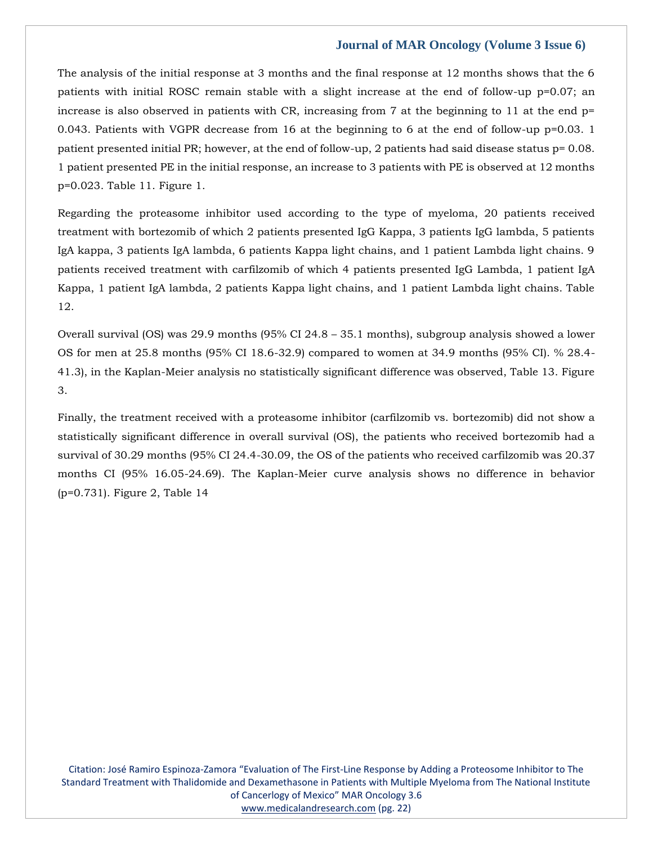The analysis of the initial response at 3 months and the final response at 12 months shows that the 6 patients with initial ROSC remain stable with a slight increase at the end of follow-up p=0.07; an increase is also observed in patients with CR, increasing from 7 at the beginning to 11 at the end p= 0.043. Patients with VGPR decrease from 16 at the beginning to 6 at the end of follow-up p=0.03. 1 patient presented initial PR; however, at the end of follow-up, 2 patients had said disease status p= 0.08. 1 patient presented PE in the initial response, an increase to 3 patients with PE is observed at 12 months p=0.023. Table 11. Figure 1.

Regarding the proteasome inhibitor used according to the type of myeloma, 20 patients received treatment with bortezomib of which 2 patients presented IgG Kappa, 3 patients IgG lambda, 5 patients IgA kappa, 3 patients IgA lambda, 6 patients Kappa light chains, and 1 patient Lambda light chains. 9 patients received treatment with carfilzomib of which 4 patients presented IgG Lambda, 1 patient IgA Kappa, 1 patient IgA lambda, 2 patients Kappa light chains, and 1 patient Lambda light chains. Table 12.

Overall survival (OS) was 29.9 months (95% CI 24.8 – 35.1 months), subgroup analysis showed a lower OS for men at 25.8 months (95% CI 18.6-32.9) compared to women at 34.9 months (95% CI). % 28.4- 41.3), in the Kaplan-Meier analysis no statistically significant difference was observed, Table 13. Figure 3.

Finally, the treatment received with a proteasome inhibitor (carfilzomib vs. bortezomib) did not show a statistically significant difference in overall survival (OS), the patients who received bortezomib had a survival of 30.29 months (95% CI 24.4-30.09, the OS of the patients who received carfilzomib was 20.37 months CI (95% 16.05-24.69). The Kaplan-Meier curve analysis shows no difference in behavior (p=0.731). Figure 2, Table 14

Citation: José Ramiro Espinoza-Zamora "Evaluation of The First-Line Response by Adding a Proteosome Inhibitor to The Standard Treatment with Thalidomide and Dexamethasone in Patients with Multiple Myeloma from The National Institute of Cancerlogy of Mexico" MAR Oncology 3.6 [www.medicalandresearch.com](http://www.medicalandresearch.com/) (pg. 22)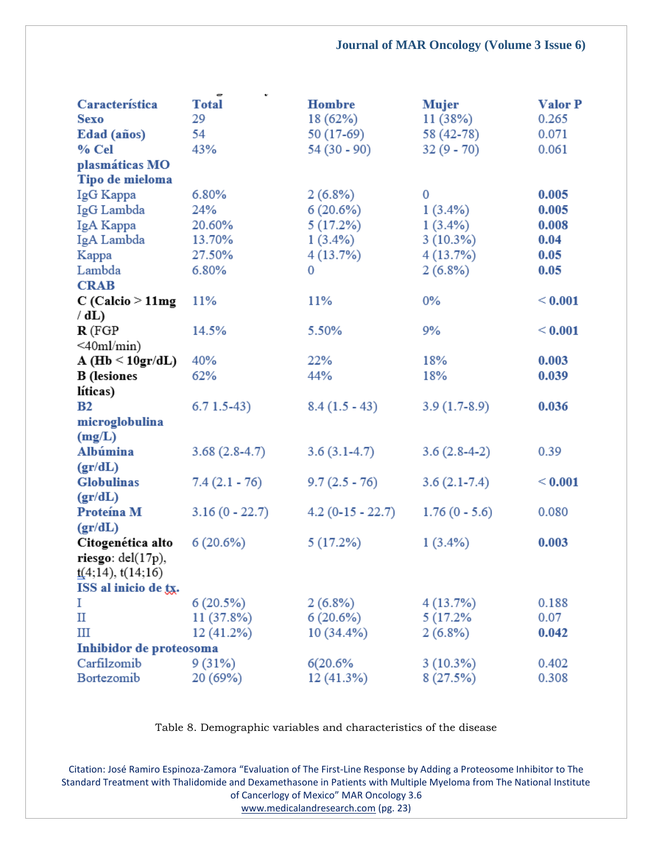| Característica                   | $\mathbf{v}$<br>$\overline{\phantom{a}}$<br><b>Total</b> | <b>Hombre</b>      | <b>Mujer</b>    | <b>Valor P</b> |
|----------------------------------|----------------------------------------------------------|--------------------|-----------------|----------------|
| <b>Sexo</b>                      | 29                                                       | 18 (62%)           | 11(38%)         | 0.265          |
| Edad (años)                      | 54                                                       | 50 (17-69)         | 58 (42-78)      | 0.071          |
| % Cel                            | 43%                                                      | $54(30 - 90)$      | $32(9 - 70)$    | 0.061          |
| plasmáticas MO                   |                                                          |                    |                 |                |
| Tipo de mieloma                  |                                                          |                    |                 |                |
| IgG Kappa                        | 6.80%                                                    | $2(6.8\%)$         | $\mathbf{0}$    | 0.005          |
| IgG Lambda                       | 24%                                                      | 6(20.6%)           | $1(3.4\%)$      | 0.005          |
| IgA Kappa                        | 20.60%                                                   | 5(17.2%)           | $1(3.4\%)$      | 0.008          |
| IgA Lambda                       | 13.70%                                                   | $1(3.4\%)$         | 3(10.3%)        | 0.04           |
| Kappa                            | 27.50%                                                   | 4(13.7%)           | 4(13.7%)        | 0.05           |
| Lambda                           | 6.80%                                                    | 0                  | $2(6.8\%)$      | 0.05           |
| <b>CRAB</b>                      |                                                          |                    |                 |                |
| $C$ (Calcio $>11$ mg<br>/dL      | 11%                                                      | 11%                | $0\%$           | < 0.001        |
| $\mathbf{R}$ (FGP                | 14.5%                                                    | 5.50%              | 9%              | < 0.001        |
| $\leq 40$ ml/min)                |                                                          |                    |                 |                |
| $A(Hb \le 10gr/dL)$              | 40%                                                      | 22%                | 18%             | 0.003          |
| <b>B</b> (lesiones               | 62%                                                      | 44%                | 18%             | 0.039          |
| líticas)                         |                                                          |                    |                 |                |
| B2                               | $6.71.5-43)$                                             | $8.4(1.5-43)$      | $3.9(1.7-8.9)$  | 0.036          |
| microglobulina                   |                                                          |                    |                 |                |
| (mg/L)                           |                                                          |                    |                 |                |
| Albúmina                         | $3.68(2.8-4.7)$                                          | $3.6(3.1-4.7)$     | $3.6(2.8-4-2)$  | 0.39           |
| gr/dL)                           |                                                          |                    |                 |                |
| <b>Globulinas</b>                | $7.4(2.1 - 76)$                                          | $9.7(2.5 - 76)$    | $3.6(2.1-7.4)$  | < 0.001        |
| gr/dL)                           |                                                          |                    |                 |                |
| Proteína M                       | $3.16(0 - 22.7)$                                         | $4.2(0-15 - 22.7)$ | $1.76(0 - 5.6)$ | 0.080          |
| gr/dL)                           |                                                          |                    |                 |                |
| Citogenética alto                | 6(20.6%)                                                 | 5(17.2%)           | $1(3.4\%)$      | 0.003          |
| riesgo: $del(17p)$ ,             |                                                          |                    |                 |                |
| $\underline{t}(4;14)$ , t(14;16) |                                                          |                    |                 |                |
| ISS al inicio de tx.             |                                                          |                    |                 |                |
| Ι                                | 6(20.5%)                                                 | $2(6.8\%)$         | 4(13.7%)        | 0.188          |
| П                                | 11 (37.8%)                                               | 6(20.6%)           | 5 (17.2%)       | 0.07           |
| Ш                                | 12 (41.2%)                                               | $10(34.4\%)$       | $2(6.8\%)$      | 0.042          |
| Inhibidor de proteosoma          |                                                          |                    |                 |                |
| Carfilzomib                      | 9(31%)                                                   | 6(20.6%            | $3(10.3\%)$     | 0.402          |
| Bortezomib                       | 20 (69%)                                                 | 12 (41.3%)         | 8(27.5%)        | 0.308          |

Table 8. Demographic variables and characteristics of the disease

Citation: José Ramiro Espinoza-Zamora "Evaluation of The First-Line Response by Adding a Proteosome Inhibitor to The Standard Treatment with Thalidomide and Dexamethasone in Patients with Multiple Myeloma from The National Institute of Cancerlogy of Mexico" MAR Oncology 3.6

[www.medicalandresearch.com](http://www.medicalandresearch.com/) (pg. 23)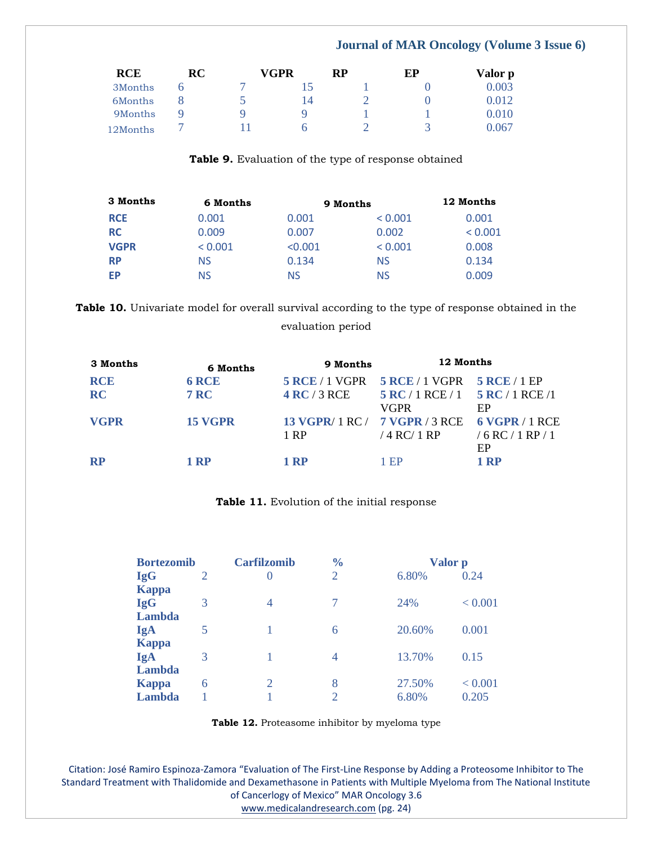| <b>RCE</b> | RC | VGPR |    | RP | ЕP      | Valor p |
|------------|----|------|----|----|---------|---------|
| 3Months    |    |      |    |    |         | 0.003   |
| 6Months    |    |      | 14 |    |         | 0.012   |
| 9Months    |    | Q    | u  |    |         | 0.010   |
| 12Months   |    |      |    |    | $\prec$ | 0.067   |

**Table 9.** Evaluation of the type of response obtained

| 3 Months    | 6 Months | 9 Months | 12 Months |         |
|-------------|----------|----------|-----------|---------|
| <b>RCE</b>  | 0.001    | 0.001    | < 0.001   | 0.001   |
| <b>RC</b>   | 0.009    | 0.007    | 0.002     | < 0.001 |
| <b>VGPR</b> | < 0.001  | < 0.001  | < 0.001   | 0.008   |
| <b>RP</b>   | NS       | 0.134    | NS        | 0.134   |
| ЕP          | NS       | NS       | NS        | 0.009   |

**Table 10.** Univariate model for overall survival according to the type of response obtained in the

# evaluation period

| 3 Months    | 6 Months     | 9 Months              | 12 Months                                     | -----            |
|-------------|--------------|-----------------------|-----------------------------------------------|------------------|
| <b>RCE</b>  | <b>6 RCE</b> | <b>5 RCE</b> / 1 VGPR | $5$ RCE / 1 VGPR $5$ RCE / 1 EP               |                  |
| <b>RC</b>   | <b>7 RC</b>  | 4 RC/3 RCE            | $5 RC / 1 RCE / 1$ $5 RC / 1 RCE / 1$         |                  |
|             |              |                       | VGPR                                          | EP               |
| <b>VGPR</b> | 15 VGPR      |                       | 13 VGPR/ 1 RC / 7 VGPR / 3 RCE 6 VGPR / 1 RCE |                  |
|             |              | 1 RP                  | / 4 RC/ 1 RP                                  | /6 RC / 1 RP / 1 |
|             |              |                       |                                               | EP               |
| <b>RP</b>   | 1 RP         | 1 RP                  | - EP                                          | 1 RP             |

# **Table 11.** Evolution of the initial response

| <b>Bortezomib</b>   |                | <b>Carfilzomib</b> | $\frac{0}{0}$  | Valor p |         |
|---------------------|----------------|--------------------|----------------|---------|---------|
| <b>IgG</b>          | $\overline{2}$ | $_{0}$             | $\overline{2}$ | 6.80%   | 0.24    |
| <b>Kappa</b>        |                |                    |                |         |         |
| <b>IgG</b>          | 3              | 4                  | 7              | 24%     | < 0.001 |
| Lambda              | 5              |                    | 6              | 20.60%  | 0.001   |
| IgA<br><b>Kappa</b> |                |                    |                |         |         |
| IgA                 | 3              |                    | 4              | 13.70%  | 0.15    |
| Lambda              |                |                    |                |         |         |
| <b>Kappa</b>        | 6              | 2                  | 8              | 27.50%  | < 0.001 |
| Lambda              |                |                    | $\overline{2}$ | 6.80%   | 0.205   |

**Table 12.** Proteasome inhibitor by myeloma type

Citation: José Ramiro Espinoza-Zamora "Evaluation of The First-Line Response by Adding a Proteosome Inhibitor to The Standard Treatment with Thalidomide and Dexamethasone in Patients with Multiple Myeloma from The National Institute of Cancerlogy of Mexico" MAR Oncology 3.6

[www.medicalandresearch.com](http://www.medicalandresearch.com/) (pg. 24)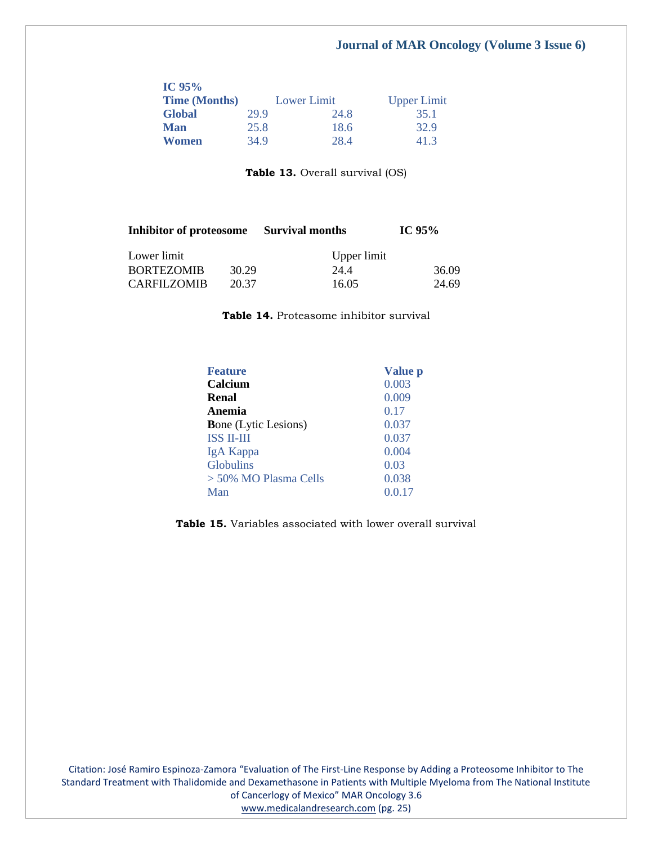| IC $95\%$            |      |             |                    |  |
|----------------------|------|-------------|--------------------|--|
| <b>Time (Months)</b> |      | Lower Limit | <b>Upper Limit</b> |  |
| <b>Global</b>        | 29.9 | 24.8        | 35.1               |  |
| <b>Man</b>           | 25.8 | 18.6        | 32.9               |  |
| Women                | 34.9 | 28.4        | 41.3               |  |

Table 13. Overall survival (OS)

| Inhibitor of proteosome Survival months |       |             | IC $95%$ |  |
|-----------------------------------------|-------|-------------|----------|--|
| Lower limit                             |       | Upper limit |          |  |
| <b>BORTEZOMIB</b>                       | 30.29 | 24.4        | 36.09    |  |
| <b>CARFILZOMIB</b>                      | 20.37 | 16.05       | 24.69    |  |

**Table 14.** Proteasome inhibitor survival

| <b>Feature</b>              | Value p |
|-----------------------------|---------|
| Calcium                     | 0.003   |
| Renal                       | 0.009   |
| Anemia                      | 0.17    |
| <b>Bone</b> (Lytic Lesions) | 0.037   |
| <b>ISS II-III</b>           | 0.037   |
| IgA Kappa                   | 0.004   |
| <b>Globulins</b>            | 0.03    |
| > 50% MO Plasma Cells       | 0.038   |
| Man                         | 0.0.17  |

**Table 15.** Variables associated with lower overall survival

Citation: José Ramiro Espinoza-Zamora "Evaluation of The First-Line Response by Adding a Proteosome Inhibitor to The Standard Treatment with Thalidomide and Dexamethasone in Patients with Multiple Myeloma from The National Institute of Cancerlogy of Mexico" MAR Oncology 3.6

[www.medicalandresearch.com](http://www.medicalandresearch.com/) (pg. 25)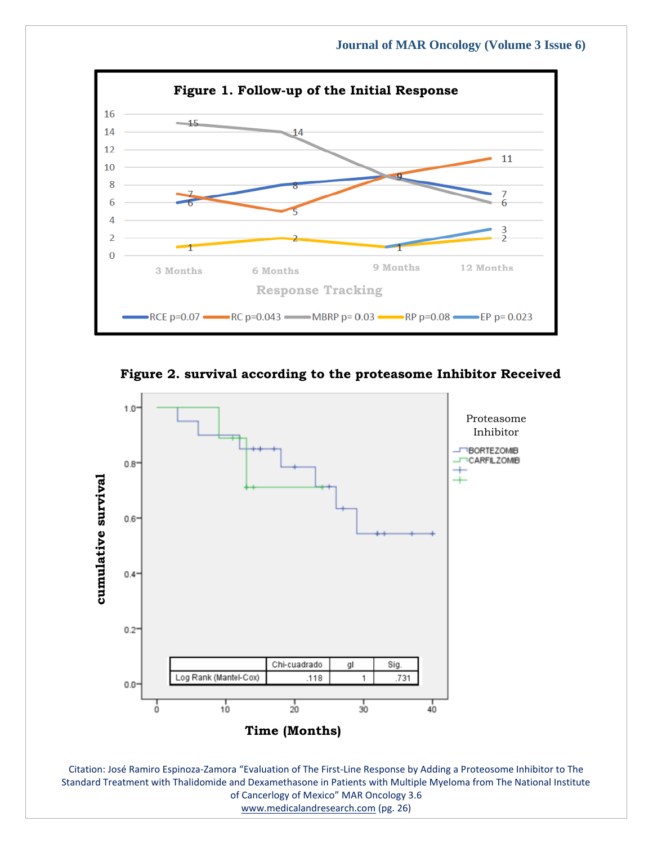

**Figure 2. survival according to the proteasome Inhibitor Received**



Standard Treatment with Thalidomide and Dexamethasone in Patients with Multiple Myeloma from The National Institute of Cancerlogy of Mexico" MAR Oncology 3.6

[www.medicalandresearch.com](http://www.medicalandresearch.com/) (pg. 26)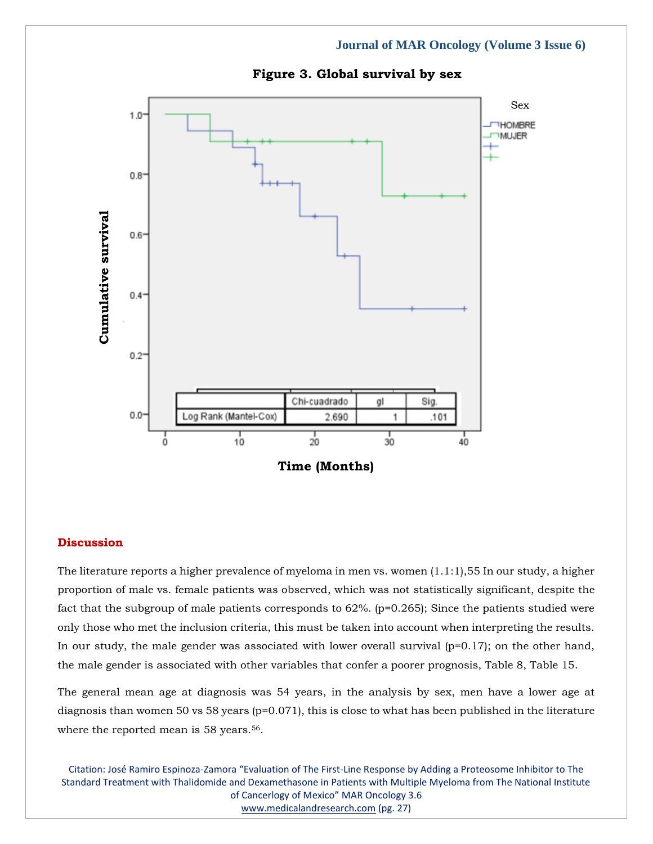

# **Figure 3. Global survival by sex**

# **Discussion**

The literature reports a higher prevalence of myeloma in men vs. women (1.1:1),55 In our study, a higher proportion of male vs. female patients was observed, which was not statistically significant, despite the fact that the subgroup of male patients corresponds to 62%. (p=0.265); Since the patients studied were only those who met the inclusion criteria, this must be taken into account when interpreting the results. In our study, the male gender was associated with lower overall survival  $(p=0.17)$ ; on the other hand, the male gender is associated with other variables that confer a poorer prognosis, Table 8, Table 15.

The general mean age at diagnosis was 54 years, in the analysis by sex, men have a lower age at diagnosis than women 50 vs 58 years ( $p=0.071$ ), this is close to what has been published in the literature where the reported mean is 58 years.<sup>56</sup>.

Citation: José Ramiro Espinoza-Zamora "Evaluation of The First-Line Response by Adding a Proteosome Inhibitor to The Standard Treatment with Thalidomide and Dexamethasone in Patients with Multiple Myeloma from The National Institute of Cancerlogy of Mexico" MAR Oncology 3.6 [www.medicalandresearch.com](http://www.medicalandresearch.com/) (pg. 27)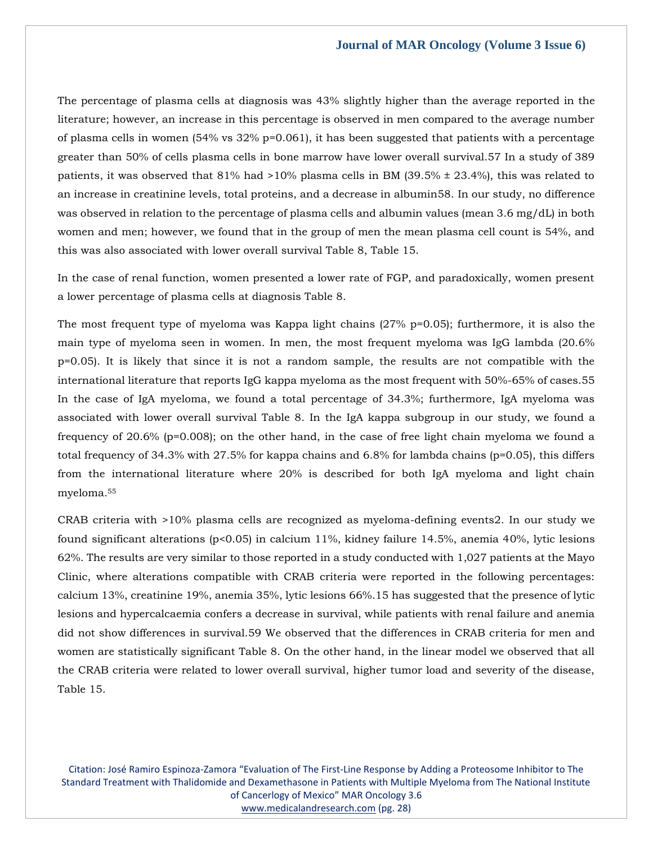The percentage of plasma cells at diagnosis was 43% slightly higher than the average reported in the literature; however, an increase in this percentage is observed in men compared to the average number of plasma cells in women (54% vs 32% p=0.061), it has been suggested that patients with a percentage greater than 50% of cells plasma cells in bone marrow have lower overall survival.57 In a study of 389 patients, it was observed that  $81\%$  had  $>10\%$  plasma cells in BM (39.5%  $\pm$  23.4%), this was related to an increase in creatinine levels, total proteins, and a decrease in albumin58. In our study, no difference was observed in relation to the percentage of plasma cells and albumin values (mean 3.6 mg/dL) in both women and men; however, we found that in the group of men the mean plasma cell count is 54%, and this was also associated with lower overall survival Table 8, Table 15.

In the case of renal function, women presented a lower rate of FGP, and paradoxically, women present a lower percentage of plasma cells at diagnosis Table 8.

The most frequent type of myeloma was Kappa light chains  $(27\% \text{ p}=0.05)$ ; furthermore, it is also the main type of myeloma seen in women. In men, the most frequent myeloma was IgG lambda (20.6% p=0.05). It is likely that since it is not a random sample, the results are not compatible with the international literature that reports IgG kappa myeloma as the most frequent with 50%-65% of cases.55 In the case of IgA myeloma, we found a total percentage of 34.3%; furthermore, IgA myeloma was associated with lower overall survival Table 8. In the IgA kappa subgroup in our study, we found a frequency of 20.6% (p=0.008); on the other hand, in the case of free light chain myeloma we found a total frequency of 34.3% with  $27.5\%$  for kappa chains and  $6.8\%$  for lambda chains ( $p=0.05$ ), this differs from the international literature where 20% is described for both IgA myeloma and light chain myeloma.<sup>55</sup>

CRAB criteria with >10% plasma cells are recognized as myeloma-defining events2. In our study we found significant alterations (p<0.05) in calcium 11%, kidney failure 14.5%, anemia 40%, lytic lesions 62%. The results are very similar to those reported in a study conducted with 1,027 patients at the Mayo Clinic, where alterations compatible with CRAB criteria were reported in the following percentages: calcium 13%, creatinine 19%, anemia 35%, lytic lesions 66%.15 has suggested that the presence of lytic lesions and hypercalcaemia confers a decrease in survival, while patients with renal failure and anemia did not show differences in survival.59 We observed that the differences in CRAB criteria for men and women are statistically significant Table 8. On the other hand, in the linear model we observed that all the CRAB criteria were related to lower overall survival, higher tumor load and severity of the disease, Table 15.

Citation: José Ramiro Espinoza-Zamora "Evaluation of The First-Line Response by Adding a Proteosome Inhibitor to The Standard Treatment with Thalidomide and Dexamethasone in Patients with Multiple Myeloma from The National Institute of Cancerlogy of Mexico" MAR Oncology 3.6 [www.medicalandresearch.com](http://www.medicalandresearch.com/) (pg. 28)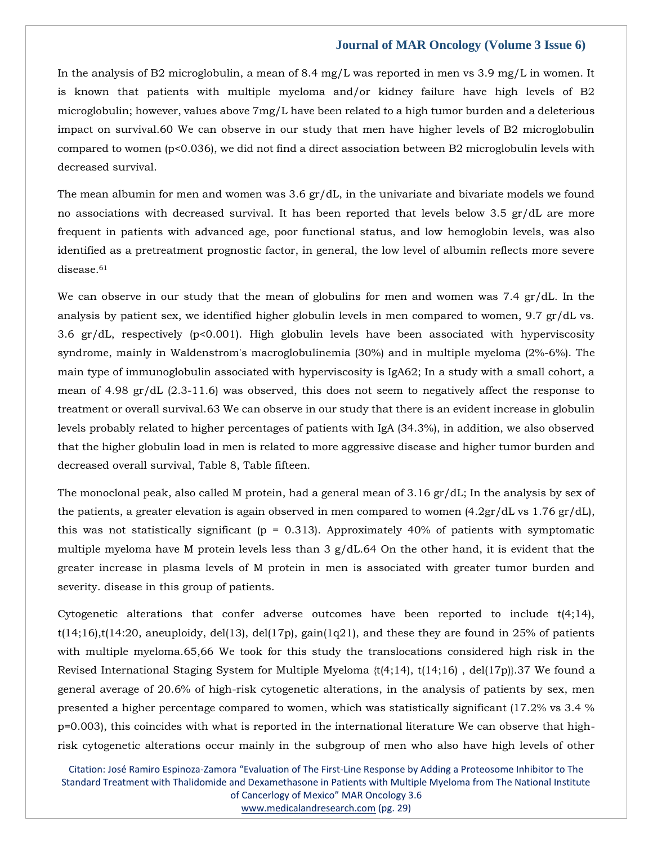In the analysis of B2 microglobulin, a mean of 8.4 mg/L was reported in men vs 3.9 mg/L in women. It is known that patients with multiple myeloma and/or kidney failure have high levels of B2 microglobulin; however, values above 7mg/L have been related to a high tumor burden and a deleterious impact on survival.60 We can observe in our study that men have higher levels of B2 microglobulin compared to women (p<0.036), we did not find a direct association between B2 microglobulin levels with decreased survival.

The mean albumin for men and women was 3.6 gr/dL, in the univariate and bivariate models we found no associations with decreased survival. It has been reported that levels below 3.5 gr/dL are more frequent in patients with advanced age, poor functional status, and low hemoglobin levels, was also identified as a pretreatment prognostic factor, in general, the low level of albumin reflects more severe disease.<sup>61</sup>

We can observe in our study that the mean of globulins for men and women was  $7.4 \text{ gr/d}$ L. In the analysis by patient sex, we identified higher globulin levels in men compared to women, 9.7 gr/dL vs. 3.6 gr/dL, respectively (p<0.001). High globulin levels have been associated with hyperviscosity syndrome, mainly in Waldenstrom's macroglobulinemia (30%) and in multiple myeloma (2%-6%). The main type of immunoglobulin associated with hyperviscosity is IgA62; In a study with a small cohort, a mean of 4.98 gr/dL (2.3-11.6) was observed, this does not seem to negatively affect the response to treatment or overall survival.63 We can observe in our study that there is an evident increase in globulin levels probably related to higher percentages of patients with IgA (34.3%), in addition, we also observed that the higher globulin load in men is related to more aggressive disease and higher tumor burden and decreased overall survival, Table 8, Table fifteen.

The monoclonal peak, also called M protein, had a general mean of 3.16 gr/dL; In the analysis by sex of the patients, a greater elevation is again observed in men compared to women  $(4.2\text{gr}/dL \text{ vs } 1.76 \text{ gr}/dL)$ , this was not statistically significant ( $p = 0.313$ ). Approximately 40% of patients with symptomatic multiple myeloma have M protein levels less than 3 g/dL.64 On the other hand, it is evident that the greater increase in plasma levels of M protein in men is associated with greater tumor burden and severity. disease in this group of patients.

Cytogenetic alterations that confer adverse outcomes have been reported to include  $t(4;14)$ ,  $t(14;16)$ , $t(14:20)$ , aneuploidy, del(13), del(17p), gain(1q21), and these they are found in 25% of patients with multiple myeloma.65,66 We took for this study the translocations considered high risk in the Revised International Staging System for Multiple Myeloma {t(4;14), t(14;16) , del(17p)}.37 We found a general average of 20.6% of high-risk cytogenetic alterations, in the analysis of patients by sex, men presented a higher percentage compared to women, which was statistically significant (17.2% vs 3.4 % p=0.003), this coincides with what is reported in the international literature We can observe that highrisk cytogenetic alterations occur mainly in the subgroup of men who also have high levels of other

Citation: José Ramiro Espinoza-Zamora "Evaluation of The First-Line Response by Adding a Proteosome Inhibitor to The Standard Treatment with Thalidomide and Dexamethasone in Patients with Multiple Myeloma from The National Institute of Cancerlogy of Mexico" MAR Oncology 3.6 [www.medicalandresearch.com](http://www.medicalandresearch.com/) (pg. 29)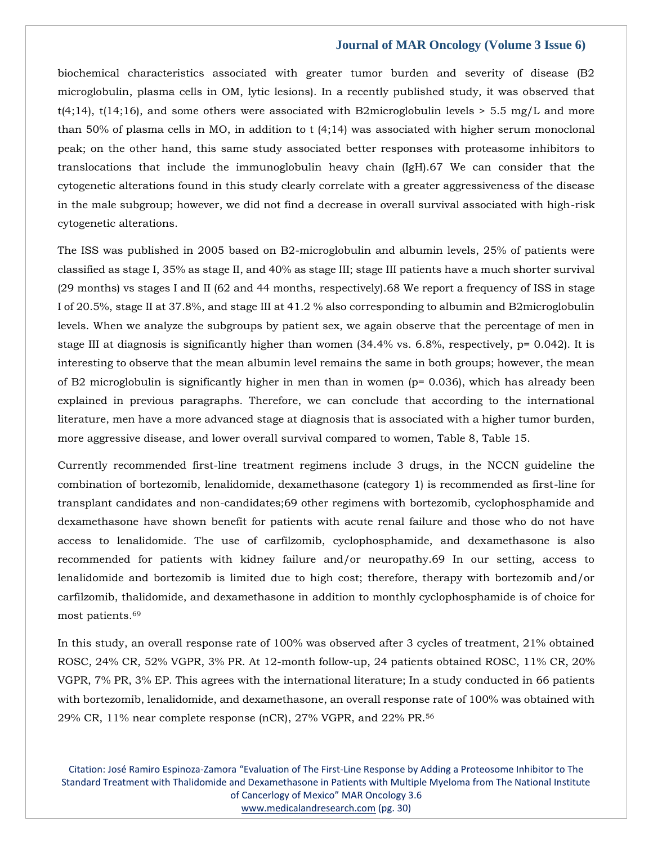biochemical characteristics associated with greater tumor burden and severity of disease (B2 microglobulin, plasma cells in OM, lytic lesions). In a recently published study, it was observed that t(4;14), t(14;16), and some others were associated with B2microglobulin levels  $> 5.5$  mg/L and more than 50% of plasma cells in MO, in addition to t (4;14) was associated with higher serum monoclonal peak; on the other hand, this same study associated better responses with proteasome inhibitors to translocations that include the immunoglobulin heavy chain (IgH).67 We can consider that the cytogenetic alterations found in this study clearly correlate with a greater aggressiveness of the disease in the male subgroup; however, we did not find a decrease in overall survival associated with high-risk cytogenetic alterations.

The ISS was published in 2005 based on B2-microglobulin and albumin levels, 25% of patients were classified as stage I, 35% as stage II, and 40% as stage III; stage III patients have a much shorter survival (29 months) vs stages I and II (62 and 44 months, respectively).68 We report a frequency of ISS in stage I of 20.5%, stage II at 37.8%, and stage III at 41.2 % also corresponding to albumin and B2microglobulin levels. When we analyze the subgroups by patient sex, we again observe that the percentage of men in stage III at diagnosis is significantly higher than women (34.4% vs. 6.8%, respectively, p= 0.042). It is interesting to observe that the mean albumin level remains the same in both groups; however, the mean of B2 microglobulin is significantly higher in men than in women (p= 0.036), which has already been explained in previous paragraphs. Therefore, we can conclude that according to the international literature, men have a more advanced stage at diagnosis that is associated with a higher tumor burden, more aggressive disease, and lower overall survival compared to women, Table 8, Table 15.

Currently recommended first-line treatment regimens include 3 drugs, in the NCCN guideline the combination of bortezomib, lenalidomide, dexamethasone (category 1) is recommended as first-line for transplant candidates and non-candidates;69 other regimens with bortezomib, cyclophosphamide and dexamethasone have shown benefit for patients with acute renal failure and those who do not have access to lenalidomide. The use of carfilzomib, cyclophosphamide, and dexamethasone is also recommended for patients with kidney failure and/or neuropathy.69 In our setting, access to lenalidomide and bortezomib is limited due to high cost; therefore, therapy with bortezomib and/or carfilzomib, thalidomide, and dexamethasone in addition to monthly cyclophosphamide is of choice for most patients.<sup>69</sup>

In this study, an overall response rate of 100% was observed after 3 cycles of treatment, 21% obtained ROSC, 24% CR, 52% VGPR, 3% PR. At 12-month follow-up, 24 patients obtained ROSC, 11% CR, 20% VGPR, 7% PR, 3% EP. This agrees with the international literature; In a study conducted in 66 patients with bortezomib, lenalidomide, and dexamethasone, an overall response rate of 100% was obtained with 29% CR, 11% near complete response (nCR), 27% VGPR, and 22% PR.56

Citation: José Ramiro Espinoza-Zamora "Evaluation of The First-Line Response by Adding a Proteosome Inhibitor to The Standard Treatment with Thalidomide and Dexamethasone in Patients with Multiple Myeloma from The National Institute of Cancerlogy of Mexico" MAR Oncology 3.6 [www.medicalandresearch.com](http://www.medicalandresearch.com/) (pg. 30)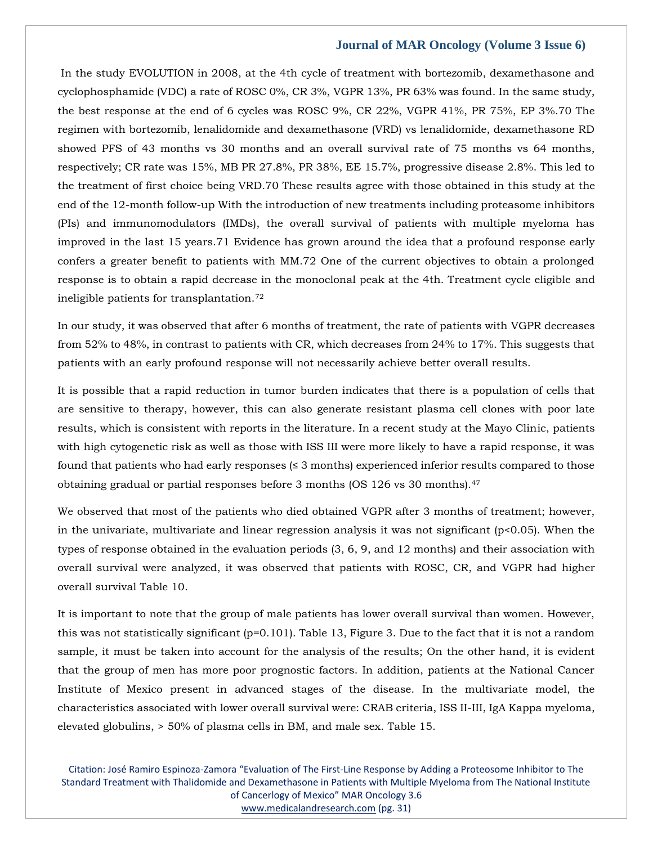In the study EVOLUTION in 2008, at the 4th cycle of treatment with bortezomib, dexamethasone and cyclophosphamide (VDC) a rate of ROSC 0%, CR 3%, VGPR 13%, PR 63% was found. In the same study, the best response at the end of 6 cycles was ROSC 9%, CR 22%, VGPR 41%, PR 75%, EP 3%.70 The regimen with bortezomib, lenalidomide and dexamethasone (VRD) vs lenalidomide, dexamethasone RD showed PFS of 43 months vs 30 months and an overall survival rate of 75 months vs 64 months, respectively; CR rate was 15%, MB PR 27.8%, PR 38%, EE 15.7%, progressive disease 2.8%. This led to the treatment of first choice being VRD.70 These results agree with those obtained in this study at the end of the 12-month follow-up With the introduction of new treatments including proteasome inhibitors (PIs) and immunomodulators (IMDs), the overall survival of patients with multiple myeloma has improved in the last 15 years.71 Evidence has grown around the idea that a profound response early confers a greater benefit to patients with MM.72 One of the current objectives to obtain a prolonged response is to obtain a rapid decrease in the monoclonal peak at the 4th. Treatment cycle eligible and ineligible patients for transplantation.<sup>72</sup>

In our study, it was observed that after 6 months of treatment, the rate of patients with VGPR decreases from 52% to 48%, in contrast to patients with CR, which decreases from 24% to 17%. This suggests that patients with an early profound response will not necessarily achieve better overall results.

It is possible that a rapid reduction in tumor burden indicates that there is a population of cells that are sensitive to therapy, however, this can also generate resistant plasma cell clones with poor late results, which is consistent with reports in the literature. In a recent study at the Mayo Clinic, patients with high cytogenetic risk as well as those with ISS III were more likely to have a rapid response, it was found that patients who had early responses  $(\leq 3 \text{ months})$  experienced inferior results compared to those obtaining gradual or partial responses before 3 months (OS 126 vs 30 months).<sup>47</sup>

We observed that most of the patients who died obtained VGPR after 3 months of treatment; however, in the univariate, multivariate and linear regression analysis it was not significant ( $p<0.05$ ). When the types of response obtained in the evaluation periods (3, 6, 9, and 12 months) and their association with overall survival were analyzed, it was observed that patients with ROSC, CR, and VGPR had higher overall survival Table 10.

It is important to note that the group of male patients has lower overall survival than women. However, this was not statistically significant ( $p=0.101$ ). Table 13, Figure 3. Due to the fact that it is not a random sample, it must be taken into account for the analysis of the results; On the other hand, it is evident that the group of men has more poor prognostic factors. In addition, patients at the National Cancer Institute of Mexico present in advanced stages of the disease. In the multivariate model, the characteristics associated with lower overall survival were: CRAB criteria, ISS II-III, IgA Kappa myeloma, elevated globulins, > 50% of plasma cells in BM, and male sex. Table 15.

Citation: José Ramiro Espinoza-Zamora "Evaluation of The First-Line Response by Adding a Proteosome Inhibitor to The Standard Treatment with Thalidomide and Dexamethasone in Patients with Multiple Myeloma from The National Institute of Cancerlogy of Mexico" MAR Oncology 3.6 [www.medicalandresearch.com](http://www.medicalandresearch.com/) (pg. 31)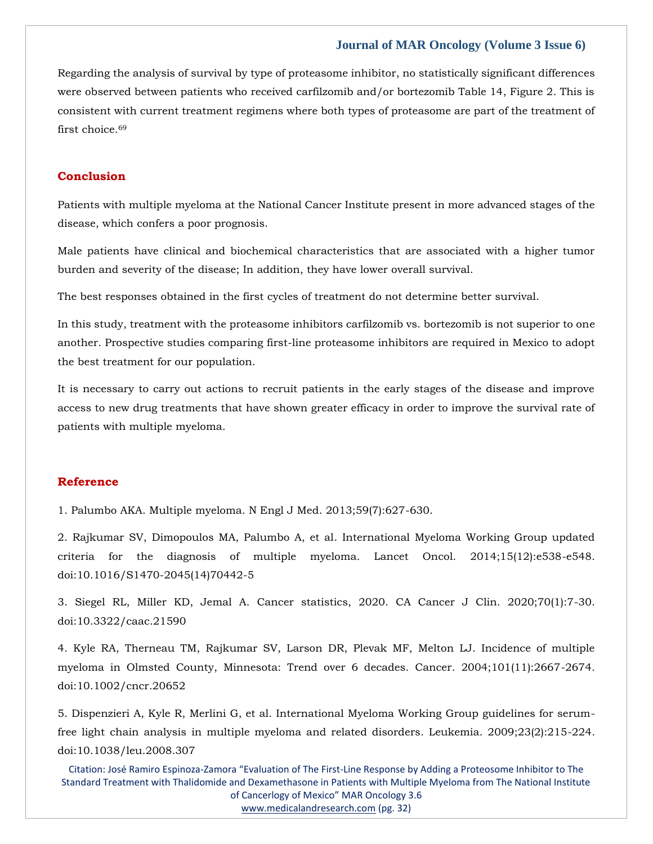Regarding the analysis of survival by type of proteasome inhibitor, no statistically significant differences were observed between patients who received carfilzomib and/or bortezomib Table 14, Figure 2. This is consistent with current treatment regimens where both types of proteasome are part of the treatment of first choice.<sup>69</sup>

# **Conclusion**

Patients with multiple myeloma at the National Cancer Institute present in more advanced stages of the disease, which confers a poor prognosis.

Male patients have clinical and biochemical characteristics that are associated with a higher tumor burden and severity of the disease; In addition, they have lower overall survival.

The best responses obtained in the first cycles of treatment do not determine better survival.

In this study, treatment with the proteasome inhibitors carfilzomib vs. bortezomib is not superior to one another. Prospective studies comparing first-line proteasome inhibitors are required in Mexico to adopt the best treatment for our population.

It is necessary to carry out actions to recruit patients in the early stages of the disease and improve access to new drug treatments that have shown greater efficacy in order to improve the survival rate of patients with multiple myeloma.

# **Reference**

1. Palumbo AKA. Multiple myeloma. N Engl J Med. 2013;59(7):627-630.

2. Rajkumar SV, Dimopoulos MA, Palumbo A, et al. International Myeloma Working Group updated criteria for the diagnosis of multiple myeloma. Lancet Oncol. 2014;15(12):e538-e548. doi:10.1016/S1470-2045(14)70442-5

3. Siegel RL, Miller KD, Jemal A. Cancer statistics, 2020. CA Cancer J Clin. 2020;70(1):7-30. doi:10.3322/caac.21590

4. Kyle RA, Therneau TM, Rajkumar SV, Larson DR, Plevak MF, Melton LJ. Incidence of multiple myeloma in Olmsted County, Minnesota: Trend over 6 decades. Cancer. 2004;101(11):2667-2674. doi:10.1002/cncr.20652

5. Dispenzieri A, Kyle R, Merlini G, et al. International Myeloma Working Group guidelines for serumfree light chain analysis in multiple myeloma and related disorders. Leukemia. 2009;23(2):215-224. doi:10.1038/leu.2008.307

Citation: José Ramiro Espinoza-Zamora "Evaluation of The First-Line Response by Adding a Proteosome Inhibitor to The Standard Treatment with Thalidomide and Dexamethasone in Patients with Multiple Myeloma from The National Institute of Cancerlogy of Mexico" MAR Oncology 3.6 [www.medicalandresearch.com](http://www.medicalandresearch.com/) (pg. 32)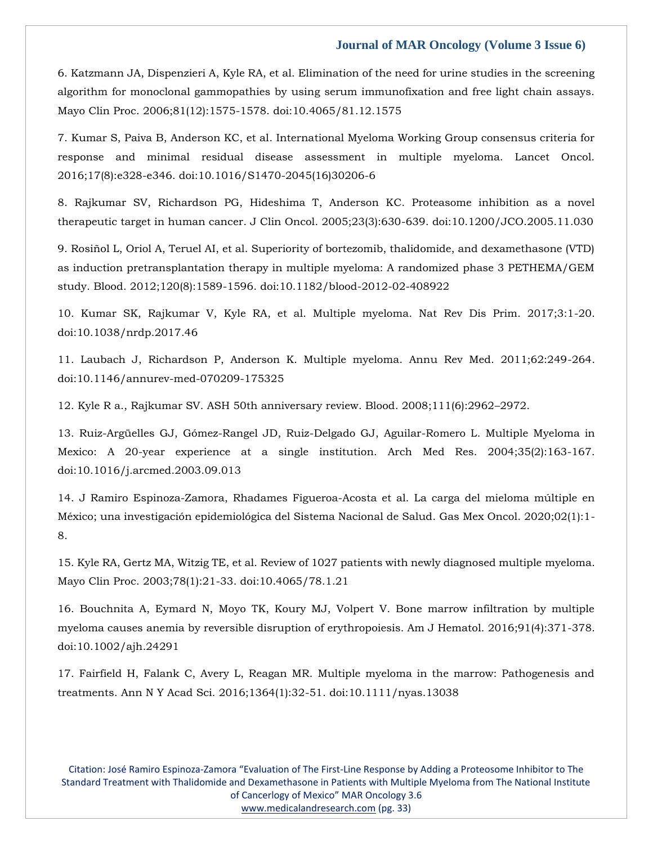6. Katzmann JA, Dispenzieri A, Kyle RA, et al. Elimination of the need for urine studies in the screening algorithm for monoclonal gammopathies by using serum immunofixation and free light chain assays. Mayo Clin Proc. 2006;81(12):1575-1578. doi:10.4065/81.12.1575

7. Kumar S, Paiva B, Anderson KC, et al. International Myeloma Working Group consensus criteria for response and minimal residual disease assessment in multiple myeloma. Lancet Oncol. 2016;17(8):e328-e346. doi:10.1016/S1470-2045(16)30206-6

8. Rajkumar SV, Richardson PG, Hideshima T, Anderson KC. Proteasome inhibition as a novel therapeutic target in human cancer. J Clin Oncol. 2005;23(3):630-639. doi:10.1200/JCO.2005.11.030

9. Rosiñol L, Oriol A, Teruel AI, et al. Superiority of bortezomib, thalidomide, and dexamethasone (VTD) as induction pretransplantation therapy in multiple myeloma: A randomized phase 3 PETHEMA/GEM study. Blood. 2012;120(8):1589-1596. doi:10.1182/blood-2012-02-408922

10. Kumar SK, Rajkumar V, Kyle RA, et al. Multiple myeloma. Nat Rev Dis Prim. 2017;3:1-20. doi:10.1038/nrdp.2017.46

11. Laubach J, Richardson P, Anderson K. Multiple myeloma. Annu Rev Med. 2011;62:249-264. doi:10.1146/annurev-med-070209-175325

12. Kyle R a., Rajkumar SV. ASH 50th anniversary review. Blood. 2008;111(6):2962–2972.

13. Ruiz-Argüelles GJ, Gómez-Rangel JD, Ruiz-Delgado GJ, Aguilar-Romero L. Multiple Myeloma in Mexico: A 20-year experience at a single institution. Arch Med Res. 2004;35(2):163-167. doi:10.1016/j.arcmed.2003.09.013

14. J Ramiro Espinoza-Zamora, Rhadames Figueroa-Acosta et al. La carga del mieloma múltiple en México; una investigación epidemiológica del Sistema Nacional de Salud. Gas Mex Oncol. 2020;02(1):1- 8.

15. Kyle RA, Gertz MA, Witzig TE, et al. Review of 1027 patients with newly diagnosed multiple myeloma. Mayo Clin Proc. 2003;78(1):21-33. doi:10.4065/78.1.21

16. Bouchnita A, Eymard N, Moyo TK, Koury MJ, Volpert V. Bone marrow infiltration by multiple myeloma causes anemia by reversible disruption of erythropoiesis. Am J Hematol. 2016;91(4):371-378. doi:10.1002/ajh.24291

17. Fairfield H, Falank C, Avery L, Reagan MR. Multiple myeloma in the marrow: Pathogenesis and treatments. Ann N Y Acad Sci. 2016;1364(1):32-51. doi:10.1111/nyas.13038

Citation: José Ramiro Espinoza-Zamora "Evaluation of The First-Line Response by Adding a Proteosome Inhibitor to The Standard Treatment with Thalidomide and Dexamethasone in Patients with Multiple Myeloma from The National Institute of Cancerlogy of Mexico" MAR Oncology 3.6 [www.medicalandresearch.com](http://www.medicalandresearch.com/) (pg. 33)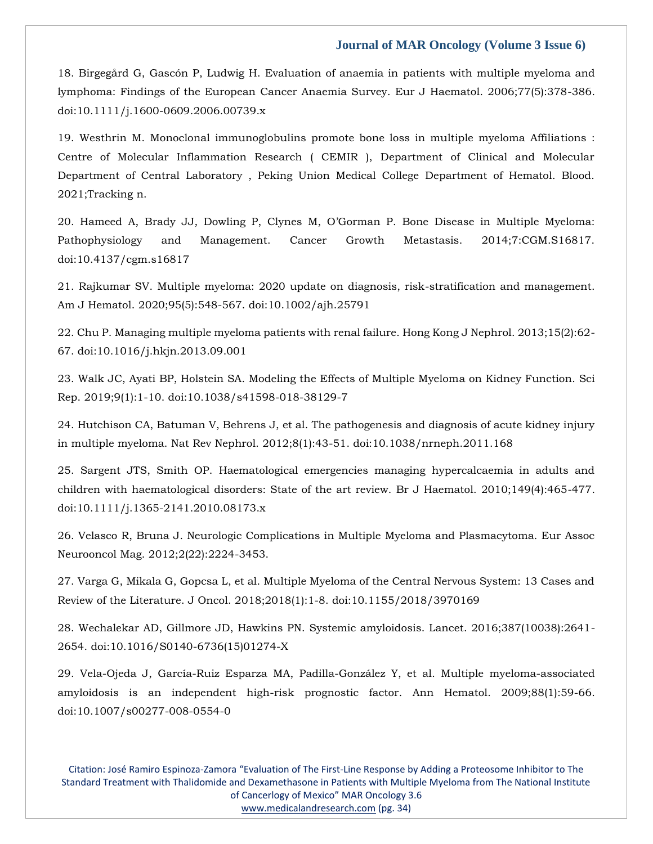18. Birgegård G, Gascón P, Ludwig H. Evaluation of anaemia in patients with multiple myeloma and lymphoma: Findings of the European Cancer Anaemia Survey. Eur J Haematol. 2006;77(5):378-386. doi:10.1111/j.1600-0609.2006.00739.x

19. Westhrin M. Monoclonal immunoglobulins promote bone loss in multiple myeloma Affiliations : Centre of Molecular Inflammation Research ( CEMIR ), Department of Clinical and Molecular Department of Central Laboratory , Peking Union Medical College Department of Hematol. Blood. 2021;Tracking n.

20. Hameed A, Brady JJ, Dowling P, Clynes M, O'Gorman P. Bone Disease in Multiple Myeloma: Pathophysiology and Management. Cancer Growth Metastasis. 2014;7:CGM.S16817. doi:10.4137/cgm.s16817

21. Rajkumar SV. Multiple myeloma: 2020 update on diagnosis, risk-stratification and management. Am J Hematol. 2020;95(5):548-567. doi:10.1002/ajh.25791

22. Chu P. Managing multiple myeloma patients with renal failure. Hong Kong J Nephrol. 2013;15(2):62- 67. doi:10.1016/j.hkjn.2013.09.001

23. Walk JC, Ayati BP, Holstein SA. Modeling the Effects of Multiple Myeloma on Kidney Function. Sci Rep. 2019;9(1):1-10. doi:10.1038/s41598-018-38129-7

24. Hutchison CA, Batuman V, Behrens J, et al. The pathogenesis and diagnosis of acute kidney injury in multiple myeloma. Nat Rev Nephrol. 2012;8(1):43-51. doi:10.1038/nrneph.2011.168

25. Sargent JTS, Smith OP. Haematological emergencies managing hypercalcaemia in adults and children with haematological disorders: State of the art review. Br J Haematol. 2010;149(4):465-477. doi:10.1111/j.1365-2141.2010.08173.x

26. Velasco R, Bruna J. Neurologic Complications in Multiple Myeloma and Plasmacytoma. Eur Assoc Neurooncol Mag. 2012;2(22):2224-3453.

27. Varga G, Mikala G, Gopcsa L, et al. Multiple Myeloma of the Central Nervous System: 13 Cases and Review of the Literature. J Oncol. 2018;2018(1):1-8. doi:10.1155/2018/3970169

28. Wechalekar AD, Gillmore JD, Hawkins PN. Systemic amyloidosis. Lancet. 2016;387(10038):2641- 2654. doi:10.1016/S0140-6736(15)01274-X

29. Vela-Ojeda J, García-Ruiz Esparza MA, Padilla-González Y, et al. Multiple myeloma-associated amyloidosis is an independent high-risk prognostic factor. Ann Hematol. 2009;88(1):59-66. doi:10.1007/s00277-008-0554-0

Citation: José Ramiro Espinoza-Zamora "Evaluation of The First-Line Response by Adding a Proteosome Inhibitor to The Standard Treatment with Thalidomide and Dexamethasone in Patients with Multiple Myeloma from The National Institute of Cancerlogy of Mexico" MAR Oncology 3.6 [www.medicalandresearch.com](http://www.medicalandresearch.com/) (pg. 34)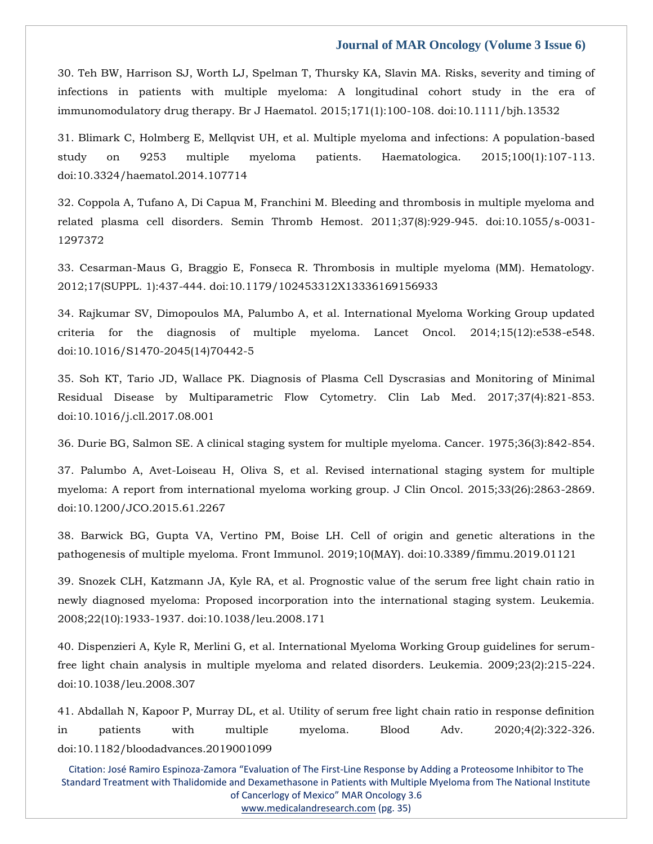30. Teh BW, Harrison SJ, Worth LJ, Spelman T, Thursky KA, Slavin MA. Risks, severity and timing of infections in patients with multiple myeloma: A longitudinal cohort study in the era of immunomodulatory drug therapy. Br J Haematol. 2015;171(1):100-108. doi:10.1111/bjh.13532

31. Blimark C, Holmberg E, Mellqvist UH, et al. Multiple myeloma and infections: A population-based study on 9253 multiple myeloma patients. Haematologica. 2015;100(1):107-113. doi:10.3324/haematol.2014.107714

32. Coppola A, Tufano A, Di Capua M, Franchini M. Bleeding and thrombosis in multiple myeloma and related plasma cell disorders. Semin Thromb Hemost. 2011;37(8):929-945. doi:10.1055/s-0031- 1297372

33. Cesarman-Maus G, Braggio E, Fonseca R. Thrombosis in multiple myeloma (MM). Hematology. 2012;17(SUPPL. 1):437-444. doi:10.1179/102453312X13336169156933

34. Rajkumar SV, Dimopoulos MA, Palumbo A, et al. International Myeloma Working Group updated criteria for the diagnosis of multiple myeloma. Lancet Oncol. 2014;15(12):e538-e548. doi:10.1016/S1470-2045(14)70442-5

35. Soh KT, Tario JD, Wallace PK. Diagnosis of Plasma Cell Dyscrasias and Monitoring of Minimal Residual Disease by Multiparametric Flow Cytometry. Clin Lab Med. 2017;37(4):821-853. doi:10.1016/j.cll.2017.08.001

36. Durie BG, Salmon SE. A clinical staging system for multiple myeloma. Cancer. 1975;36(3):842-854.

37. Palumbo A, Avet-Loiseau H, Oliva S, et al. Revised international staging system for multiple myeloma: A report from international myeloma working group. J Clin Oncol. 2015;33(26):2863-2869. doi:10.1200/JCO.2015.61.2267

38. Barwick BG, Gupta VA, Vertino PM, Boise LH. Cell of origin and genetic alterations in the pathogenesis of multiple myeloma. Front Immunol. 2019;10(MAY). doi:10.3389/fimmu.2019.01121

39. Snozek CLH, Katzmann JA, Kyle RA, et al. Prognostic value of the serum free light chain ratio in newly diagnosed myeloma: Proposed incorporation into the international staging system. Leukemia. 2008;22(10):1933-1937. doi:10.1038/leu.2008.171

40. Dispenzieri A, Kyle R, Merlini G, et al. International Myeloma Working Group guidelines for serumfree light chain analysis in multiple myeloma and related disorders. Leukemia. 2009;23(2):215-224. doi:10.1038/leu.2008.307

41. Abdallah N, Kapoor P, Murray DL, et al. Utility of serum free light chain ratio in response definition in patients with multiple myeloma. Blood Adv. 2020;4(2):322-326. doi:10.1182/bloodadvances.2019001099

Citation: José Ramiro Espinoza-Zamora "Evaluation of The First-Line Response by Adding a Proteosome Inhibitor to The Standard Treatment with Thalidomide and Dexamethasone in Patients with Multiple Myeloma from The National Institute of Cancerlogy of Mexico" MAR Oncology 3.6

[www.medicalandresearch.com](http://www.medicalandresearch.com/) (pg. 35)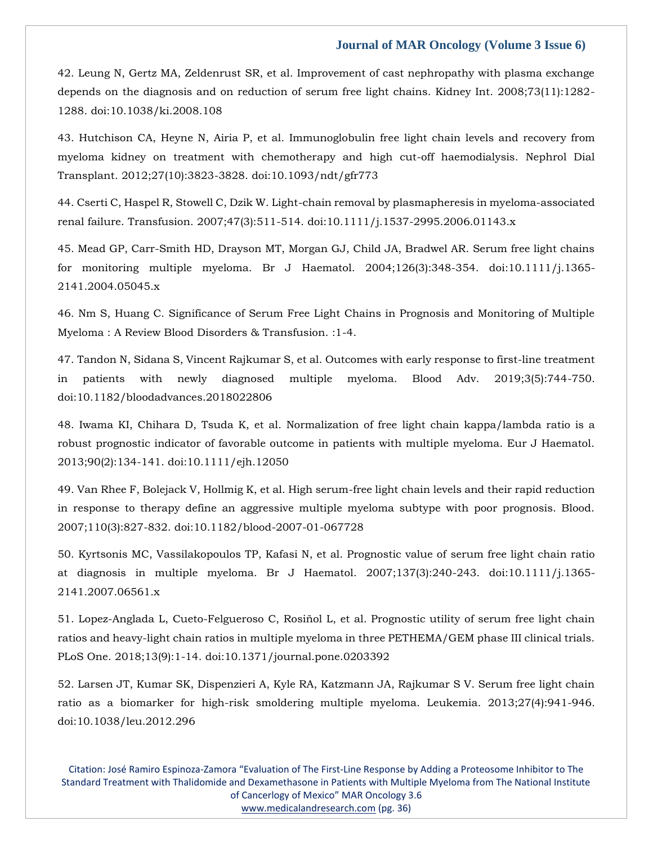42. Leung N, Gertz MA, Zeldenrust SR, et al. Improvement of cast nephropathy with plasma exchange depends on the diagnosis and on reduction of serum free light chains. Kidney Int. 2008;73(11):1282- 1288. doi:10.1038/ki.2008.108

43. Hutchison CA, Heyne N, Airia P, et al. Immunoglobulin free light chain levels and recovery from myeloma kidney on treatment with chemotherapy and high cut-off haemodialysis. Nephrol Dial Transplant. 2012;27(10):3823-3828. doi:10.1093/ndt/gfr773

44. Cserti C, Haspel R, Stowell C, Dzik W. Light-chain removal by plasmapheresis in myeloma-associated renal failure. Transfusion. 2007;47(3):511-514. doi:10.1111/j.1537-2995.2006.01143.x

45. Mead GP, Carr-Smith HD, Drayson MT, Morgan GJ, Child JA, Bradwel AR. Serum free light chains for monitoring multiple myeloma. Br J Haematol. 2004;126(3):348-354. doi:10.1111/j.1365- 2141.2004.05045.x

46. Nm S, Huang C. Significance of Serum Free Light Chains in Prognosis and Monitoring of Multiple Myeloma : A Review Blood Disorders & Transfusion. :1-4.

47. Tandon N, Sidana S, Vincent Rajkumar S, et al. Outcomes with early response to first-line treatment in patients with newly diagnosed multiple myeloma. Blood Adv. 2019;3(5):744-750. doi:10.1182/bloodadvances.2018022806

48. Iwama KI, Chihara D, Tsuda K, et al. Normalization of free light chain kappa/lambda ratio is a robust prognostic indicator of favorable outcome in patients with multiple myeloma. Eur J Haematol. 2013;90(2):134-141. doi:10.1111/ejh.12050

49. Van Rhee F, Bolejack V, Hollmig K, et al. High serum-free light chain levels and their rapid reduction in response to therapy define an aggressive multiple myeloma subtype with poor prognosis. Blood. 2007;110(3):827-832. doi:10.1182/blood-2007-01-067728

50. Kyrtsonis MC, Vassilakopoulos TP, Kafasi N, et al. Prognostic value of serum free light chain ratio at diagnosis in multiple myeloma. Br J Haematol. 2007;137(3):240-243. doi:10.1111/j.1365- 2141.2007.06561.x

51. Lopez-Anglada L, Cueto-Felgueroso C, Rosiñol L, et al. Prognostic utility of serum free light chain ratios and heavy-light chain ratios in multiple myeloma in three PETHEMA/GEM phase III clinical trials. PLoS One. 2018;13(9):1-14. doi:10.1371/journal.pone.0203392

52. Larsen JT, Kumar SK, Dispenzieri A, Kyle RA, Katzmann JA, Rajkumar S V. Serum free light chain ratio as a biomarker for high-risk smoldering multiple myeloma. Leukemia. 2013;27(4):941-946. doi:10.1038/leu.2012.296

Citation: José Ramiro Espinoza-Zamora "Evaluation of The First-Line Response by Adding a Proteosome Inhibitor to The Standard Treatment with Thalidomide and Dexamethasone in Patients with Multiple Myeloma from The National Institute of Cancerlogy of Mexico" MAR Oncology 3.6 [www.medicalandresearch.com](http://www.medicalandresearch.com/) (pg. 36)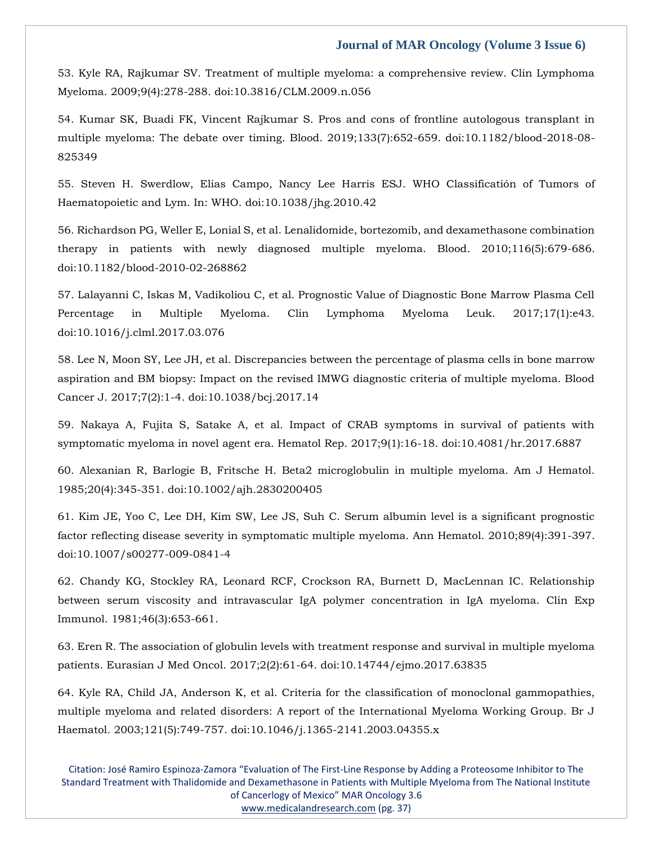53. Kyle RA, Rajkumar SV. Treatment of multiple myeloma: a comprehensive review. Clin Lymphoma Myeloma. 2009;9(4):278-288. doi:10.3816/CLM.2009.n.056

54. Kumar SK, Buadi FK, Vincent Rajkumar S. Pros and cons of frontline autologous transplant in multiple myeloma: The debate over timing. Blood. 2019;133(7):652-659. doi:10.1182/blood-2018-08- 825349

55. Steven H. Swerdlow, Elias Campo, Nancy Lee Harris ESJ. WHO Classificatión of Tumors of Haematopoietic and Lym. In: WHO. doi:10.1038/jhg.2010.42

56. Richardson PG, Weller E, Lonial S, et al. Lenalidomide, bortezomib, and dexamethasone combination therapy in patients with newly diagnosed multiple myeloma. Blood. 2010;116(5):679-686. doi:10.1182/blood-2010-02-268862

57. Lalayanni C, Iskas M, Vadikoliou C, et al. Prognostic Value of Diagnostic Bone Marrow Plasma Cell Percentage in Multiple Myeloma. Clin Lymphoma Myeloma Leuk. 2017;17(1):e43. doi:10.1016/j.clml.2017.03.076

58. Lee N, Moon SY, Lee JH, et al. Discrepancies between the percentage of plasma cells in bone marrow aspiration and BM biopsy: Impact on the revised IMWG diagnostic criteria of multiple myeloma. Blood Cancer J. 2017;7(2):1-4. doi:10.1038/bcj.2017.14

59. Nakaya A, Fujita S, Satake A, et al. Impact of CRAB symptoms in survival of patients with symptomatic myeloma in novel agent era. Hematol Rep. 2017;9(1):16-18. doi:10.4081/hr.2017.6887

60. Alexanian R, Barlogie B, Fritsche H. Beta2 microglobulin in multiple myeloma. Am J Hematol. 1985;20(4):345-351. doi:10.1002/ajh.2830200405

61. Kim JE, Yoo C, Lee DH, Kim SW, Lee JS, Suh C. Serum albumin level is a significant prognostic factor reflecting disease severity in symptomatic multiple myeloma. Ann Hematol. 2010;89(4):391-397. doi:10.1007/s00277-009-0841-4

62. Chandy KG, Stockley RA, Leonard RCF, Crockson RA, Burnett D, MacLennan IC. Relationship between serum viscosity and intravascular IgA polymer concentration in IgA myeloma. Clin Exp Immunol. 1981;46(3):653-661.

63. Eren R. The association of globulin levels with treatment response and survival in multiple myeloma patients. Eurasian J Med Oncol. 2017;2(2):61-64. doi:10.14744/ejmo.2017.63835

64. Kyle RA, Child JA, Anderson K, et al. Criteria for the classification of monoclonal gammopathies, multiple myeloma and related disorders: A report of the International Myeloma Working Group. Br J Haematol. 2003;121(5):749-757. doi:10.1046/j.1365-2141.2003.04355.x

Citation: José Ramiro Espinoza-Zamora "Evaluation of The First-Line Response by Adding a Proteosome Inhibitor to The Standard Treatment with Thalidomide and Dexamethasone in Patients with Multiple Myeloma from The National Institute of Cancerlogy of Mexico" MAR Oncology 3.6 [www.medicalandresearch.com](http://www.medicalandresearch.com/) (pg. 37)